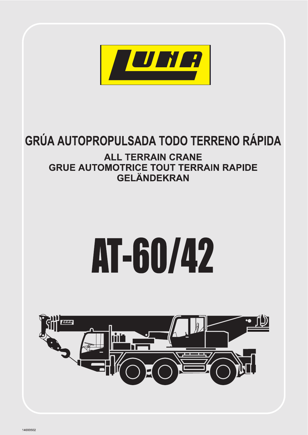

# GRÚA AUTOPROPULSADA TODO TERRENO RÁPIDA

## **ALL TERRAIN CRANE GRUE AUTOMOTRICE TOUT TERRAIN RAPIDE GELÄNDEKRAN**

# AT-60/42

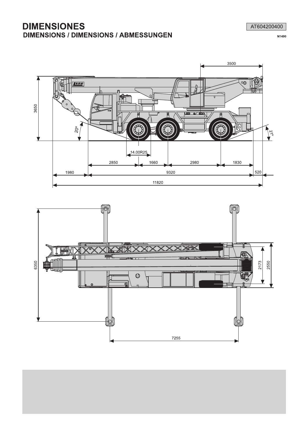#### **DIMENSIONES DIMENSIONS / DIMENSIONS / ABMESSUNGEN**

AT604200400

N1490





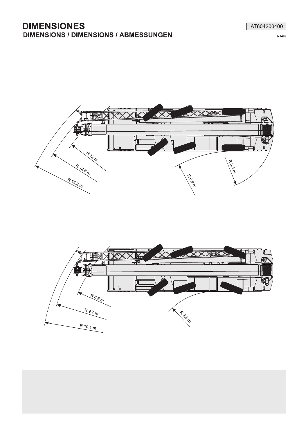#### **DIMENSIONES DIMENSIONS / DIMENSIONS / ABMESSUNGEN**

AT604200400

N1499





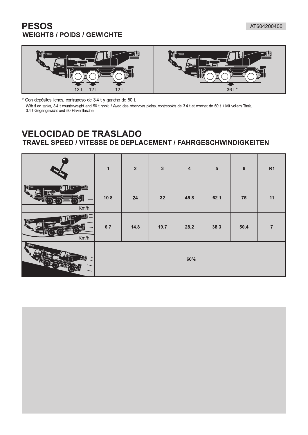## **PESOS WEIGHTS / POIDS / GEWICHTE**



\* Con depósitos llenos, contrapeso de 3.4 t y gancho de 50 t.

With filled tanks, 3.4 t counterweight and 50 t hook. / Avec des réservoirs pleins, contrepoids de 3.4 t et crochet de 50 t. / Mit vollem Tank, 34 t Gegengewicht und 50 Hakenflasche.

### **VELOCIDAD DE TRASLADO** TRAVEL SPEED / VITESSE DE DEPLACEMENT / FAHRGESCHWINDIGKEITEN

|                                                                                                                                                                          | $\mathbf{1}$ | $\overline{\mathbf{2}}$ | $\mathbf{3}$ | $\overline{\mathbf{4}}$ | $5\phantom{.0}$ | $\boldsymbol{6}$ | R1             |
|--------------------------------------------------------------------------------------------------------------------------------------------------------------------------|--------------|-------------------------|--------------|-------------------------|-----------------|------------------|----------------|
| $\begin{bmatrix} \mathbf{q}^{\text{in}} \\ \mathbf{q}^{\text{in}} \end{bmatrix} \begin{bmatrix} \mathbf{q}^{\text{in}} \\ \mathbf{q}^{\text{out}} \end{bmatrix}$<br>Km/h | 10.8         | ${\bf 24}$              | 32           | 45.8                    | 62.1            | 75               | 11             |
| <b>Telling</b><br>Km/h                                                                                                                                                   | 6.7          | 14.8                    | 19.7         | 28.2                    | 38.3            | 50.4             | $\overline{7}$ |
| $\int$ $\frac{d\mu}{d\tau}$                                                                                                                                              |              |                         |              | 60%                     |                 |                  |                |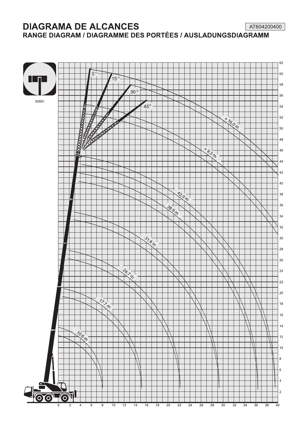**DIAGRAMA DE ALCANCES** AT604200400 RANGE DIAGRAM / DIAGRAMME DES PORTÉES / AUSLADUNGSDIAGRAMM

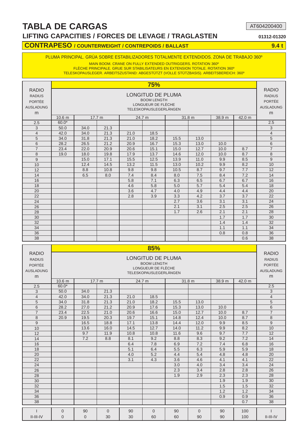**LIFTING CAPACITIES / FORCES DE LEVAGE / TRAGLASTEN 01312-01320**

AT604200400

#### **CONTRAPESO / COUNTERWEIGHT / CONTREPOIDS / BALLAST 9.4 t**

PLUMA PRINCIPAL. GRÚA SOBRE ESTABILIZADORES TOTALMENTE EXTENDIDOS. ZONA DE TRABAJO 360º

MAIN BOOM. CRANE ON FULLY EXTENDED OUTRIGGERS. ROTATION 360º

FLÈCHE PRINCIPALE. GRUE SUR STABILISATEURS EN EXTENSION TOTALE. ROTATION 360º TELESKOPAUSLEGER. ARBEITSZUSTAND: ABGESTÜTZT (VOLLE STÜTZBASIS). ARBEITSBEREICH: 360º

|                                                                         |                   |                                                                                      |        |      | <b>75%</b>                                                                                     |      |        |        |        |                                                                         |  |  |  |  |  |  |
|-------------------------------------------------------------------------|-------------------|--------------------------------------------------------------------------------------|--------|------|------------------------------------------------------------------------------------------------|------|--------|--------|--------|-------------------------------------------------------------------------|--|--|--|--|--|--|
| <b>RADIO</b><br><b>RADIUS</b><br><b>PORTÉE</b><br><b>AUSLADUNG</b><br>m |                   |                                                                                      |        |      | LONGITUD DE PLUMA<br><b>BOOM LENGTH</b><br>LONGUEUR DE FLÈCHE<br><b>TELESKOPAUSLEGERLÄNGEN</b> |      |        |        |        | <b>RADIO</b><br><b>RADIUS</b><br><b>PORTÉE</b><br><b>AUSLADUNG</b><br>m |  |  |  |  |  |  |
|                                                                         | 10.6 <sub>m</sub> |                                                                                      | 17.7 m |      | 24.7 m                                                                                         |      | 31.8 m | 38.9 m | 42.0 m |                                                                         |  |  |  |  |  |  |
| 2.5                                                                     | $60.0*$           |                                                                                      |        |      |                                                                                                |      |        |        |        | 2.5                                                                     |  |  |  |  |  |  |
| 3                                                                       | 50.0              | 34.0                                                                                 | 21.3   |      |                                                                                                |      |        |        |        | 3                                                                       |  |  |  |  |  |  |
| $\overline{4}$                                                          | 42.0              | 21.3<br>21.0<br>18.5<br>34.0<br>21.3<br>18.2<br>34.0<br>31.8<br>21.0<br>15.5<br>13.0 |        |      |                                                                                                |      |        |        |        |                                                                         |  |  |  |  |  |  |
| 5                                                                       |                   | 28.2<br>26.5<br>21.2<br>16.7<br>15.3<br>13.0<br>20.9<br>10.0                         |        |      |                                                                                                |      |        |        |        |                                                                         |  |  |  |  |  |  |
| $\overline{6}$                                                          |                   |                                                                                      |        |      |                                                                                                |      |        |        |        |                                                                         |  |  |  |  |  |  |
| $\overline{7}$                                                          | 23.4              | 15.1<br>22.0<br>20.9<br>20.6<br>15.0<br>12.7<br>10.0<br>8.7                          |        |      |                                                                                                |      |        |        |        |                                                                         |  |  |  |  |  |  |
| 8                                                                       | 19.0              | 18.0                                                                                 | 19.8   | 17.9 | 13.7                                                                                           | 14.6 | 12.0   | 10.0   | 8.7    | 8                                                                       |  |  |  |  |  |  |
| $\overline{9}$                                                          |                   | 15.0                                                                                 | 17.1   | 15.5 | 12.5                                                                                           | 13.9 | 11.0   | 9.9    | 8.5    | 9                                                                       |  |  |  |  |  |  |
| 10                                                                      |                   | 12.4                                                                                 | 14.5   | 13.2 | 11.5                                                                                           | 13.0 | 10.2   | 9.9    | 8.2    | 10                                                                      |  |  |  |  |  |  |
| 12                                                                      |                   | 8.8                                                                                  | 10.8   | 9.8  | 9.8                                                                                            | 10.5 | 8.7    | 9.7    | 7.7    | 12                                                                      |  |  |  |  |  |  |
| 14                                                                      |                   | 6.5                                                                                  | 8.0    | 7.4  | 8.4                                                                                            | 8.0  | 7.5    | 8.4    | 7.2    | 14                                                                      |  |  |  |  |  |  |
| 16                                                                      |                   |                                                                                      |        | 5.8  | 7.1                                                                                            | 6.3  | 6.5    | 6.7    | 6.7    | 16                                                                      |  |  |  |  |  |  |
| 18                                                                      |                   |                                                                                      |        | 4.6  | 5.8                                                                                            | 5.0  | 5.7    | 5.4    | 5.4    | 18                                                                      |  |  |  |  |  |  |
| 20                                                                      |                   |                                                                                      |        | 3.6  | 4.7                                                                                            | 4.0  | 4.9    | 4.4    | 4.4    | 20                                                                      |  |  |  |  |  |  |
| 22                                                                      |                   |                                                                                      |        | 2.8  | 3.9                                                                                            | 3.3  | 4.2    | 3.7    | 3.7    | 22                                                                      |  |  |  |  |  |  |
| 24                                                                      |                   |                                                                                      |        |      |                                                                                                | 2.7  | 3.6    | 3.1    | 3.1    | 24                                                                      |  |  |  |  |  |  |
| 26                                                                      |                   |                                                                                      |        |      |                                                                                                | 2.1  | 3.1    | 2.5    | 2.5    | 26                                                                      |  |  |  |  |  |  |
| 28                                                                      |                   |                                                                                      |        |      |                                                                                                | 1.7  | 2.6    | 2.1    | 2.1    | 28                                                                      |  |  |  |  |  |  |
| 30                                                                      |                   |                                                                                      |        |      |                                                                                                |      |        | 1.7    | 1.7    | 30                                                                      |  |  |  |  |  |  |
| 32                                                                      |                   |                                                                                      |        |      |                                                                                                |      |        | 1.4    | 1.4    | 32                                                                      |  |  |  |  |  |  |
| 34                                                                      |                   |                                                                                      |        |      |                                                                                                |      |        | 1.1    | 1.1    | 34                                                                      |  |  |  |  |  |  |
| 36                                                                      |                   |                                                                                      |        |      |                                                                                                |      |        | 0.8    | 0.8    | 36                                                                      |  |  |  |  |  |  |
| 38                                                                      |                   |                                                                                      |        |      |                                                                                                |      |        |        | 0.6    | 38                                                                      |  |  |  |  |  |  |

| <b>RADIO</b><br><b>RADIO</b><br>LONGITUD DE PLUMA<br><b>RADIUS</b><br><b>RADIUS</b><br><b>BOOM LENGTH</b><br><b>PORTÉE</b><br><b>PORTÉE</b><br>LONGUEUR DE FLÈCHE<br><b>AUSLADUNG</b><br><b>AUSLADUNG</b><br><b>TELESKOPAUSLEGERLÄNGEN</b><br>m<br>m<br>17.7 m<br>31.8 m<br>38.9 m<br>42.0 m<br>10.6 <sub>m</sub><br>24.7 m<br>$60.0*$<br>2.5<br>2.5<br>3<br>3<br>50.0<br>34.0<br>21.3<br>$\overline{4}$<br>$\overline{4}$<br>21.3<br>42.0<br>34.0<br>21.0<br>18.5<br>5<br>5<br>18.2<br>34.0<br>31.8<br>21.3<br>21.0<br>15.5<br>13.0<br>$\overline{6}$<br>6<br>17.6<br>28.2<br>27.0<br>21.2<br>20.9<br>15.3<br>13.0<br>10.0<br>$\overline{7}$<br>$\overline{7}$<br>23.4<br>22.5<br>21.0<br>20.6<br>16.6<br>12.7<br>8.7<br>15.0<br>10.0<br>8<br>20.9<br>19.5<br>15.1<br>12.4<br>8.7<br>8<br>20.3<br>19.7<br>14.8<br>10.0<br>9<br>9<br>8.5<br>16.5<br>18.8<br>17.1<br>13.8<br>14.4<br>12.0<br>9.9<br>12.7<br>8.2<br>10<br>10<br>13.6<br>16.0<br>14.5<br>14.0<br>11.2<br>9.9<br>7.7<br>9.7<br>10.8<br>12<br>12<br>11.9<br>10.8<br>11.6<br>9.6<br>9.7<br>9.2<br>7.2<br>7.2<br>8.1<br>8.8<br>8.3<br>9.2<br>14<br>14<br>8.8<br>16<br>6.4<br>7.8<br>6.9<br>7.2<br>7.4<br>6.8<br>16<br>18<br>5.1<br>6.4<br>6.3<br>5.9<br>5.9<br>18<br>5.5<br>5.2<br>20<br>4.0<br>5.4<br>4.8<br>4.8<br>20<br>4.4<br>22<br>4.3<br>3.6<br>4.1<br>22<br>3.1<br>4.6<br>4.1<br>24<br>24<br>3.0<br>3.4<br>3.4<br>4.0<br>26<br>26<br>2.3<br>2.8<br>2.8<br>3.4<br>1.9<br>2.9<br>2.3<br>2.3<br>28<br>28<br>1.9<br>1.9<br>30<br>30<br>32<br>32<br>1.5<br>1.5<br>34<br>1.2<br>1.2<br>34<br>36<br>0.9<br>36<br>0.9<br>38<br>0.7<br>38<br>$\overline{0}$<br>$\overline{0}$<br>$\Omega$<br>100<br>90<br>90<br>90<br>$\overline{0}$<br>90 |                  |                |                |    |    | 85% |    |    |    |     |                     |  |  |  |  |  |  |
|---------------------------------------------------------------------------------------------------------------------------------------------------------------------------------------------------------------------------------------------------------------------------------------------------------------------------------------------------------------------------------------------------------------------------------------------------------------------------------------------------------------------------------------------------------------------------------------------------------------------------------------------------------------------------------------------------------------------------------------------------------------------------------------------------------------------------------------------------------------------------------------------------------------------------------------------------------------------------------------------------------------------------------------------------------------------------------------------------------------------------------------------------------------------------------------------------------------------------------------------------------------------------------------------------------------------------------------------------------------------------------------------------------------------------------------------------------------------------------------------------------------------------------------------------------------------------------------------------------------------------------------------------------------------------------------------------|------------------|----------------|----------------|----|----|-----|----|----|----|-----|---------------------|--|--|--|--|--|--|
|                                                                                                                                                                                                                                                                                                                                                                                                                                                                                                                                                                                                                                                                                                                                                                                                                                                                                                                                                                                                                                                                                                                                                                                                                                                                                                                                                                                                                                                                                                                                                                                                                                                                                                   |                  |                |                |    |    |     |    |    |    |     |                     |  |  |  |  |  |  |
|                                                                                                                                                                                                                                                                                                                                                                                                                                                                                                                                                                                                                                                                                                                                                                                                                                                                                                                                                                                                                                                                                                                                                                                                                                                                                                                                                                                                                                                                                                                                                                                                                                                                                                   |                  |                |                |    |    |     |    |    |    |     |                     |  |  |  |  |  |  |
|                                                                                                                                                                                                                                                                                                                                                                                                                                                                                                                                                                                                                                                                                                                                                                                                                                                                                                                                                                                                                                                                                                                                                                                                                                                                                                                                                                                                                                                                                                                                                                                                                                                                                                   |                  |                |                |    |    |     |    |    |    |     |                     |  |  |  |  |  |  |
|                                                                                                                                                                                                                                                                                                                                                                                                                                                                                                                                                                                                                                                                                                                                                                                                                                                                                                                                                                                                                                                                                                                                                                                                                                                                                                                                                                                                                                                                                                                                                                                                                                                                                                   |                  |                |                |    |    |     |    |    |    |     |                     |  |  |  |  |  |  |
|                                                                                                                                                                                                                                                                                                                                                                                                                                                                                                                                                                                                                                                                                                                                                                                                                                                                                                                                                                                                                                                                                                                                                                                                                                                                                                                                                                                                                                                                                                                                                                                                                                                                                                   |                  |                |                |    |    |     |    |    |    |     |                     |  |  |  |  |  |  |
|                                                                                                                                                                                                                                                                                                                                                                                                                                                                                                                                                                                                                                                                                                                                                                                                                                                                                                                                                                                                                                                                                                                                                                                                                                                                                                                                                                                                                                                                                                                                                                                                                                                                                                   |                  |                |                |    |    |     |    |    |    |     |                     |  |  |  |  |  |  |
|                                                                                                                                                                                                                                                                                                                                                                                                                                                                                                                                                                                                                                                                                                                                                                                                                                                                                                                                                                                                                                                                                                                                                                                                                                                                                                                                                                                                                                                                                                                                                                                                                                                                                                   |                  |                |                |    |    |     |    |    |    |     |                     |  |  |  |  |  |  |
|                                                                                                                                                                                                                                                                                                                                                                                                                                                                                                                                                                                                                                                                                                                                                                                                                                                                                                                                                                                                                                                                                                                                                                                                                                                                                                                                                                                                                                                                                                                                                                                                                                                                                                   |                  |                |                |    |    |     |    |    |    |     |                     |  |  |  |  |  |  |
|                                                                                                                                                                                                                                                                                                                                                                                                                                                                                                                                                                                                                                                                                                                                                                                                                                                                                                                                                                                                                                                                                                                                                                                                                                                                                                                                                                                                                                                                                                                                                                                                                                                                                                   |                  |                |                |    |    |     |    |    |    |     |                     |  |  |  |  |  |  |
|                                                                                                                                                                                                                                                                                                                                                                                                                                                                                                                                                                                                                                                                                                                                                                                                                                                                                                                                                                                                                                                                                                                                                                                                                                                                                                                                                                                                                                                                                                                                                                                                                                                                                                   |                  |                |                |    |    |     |    |    |    |     |                     |  |  |  |  |  |  |
|                                                                                                                                                                                                                                                                                                                                                                                                                                                                                                                                                                                                                                                                                                                                                                                                                                                                                                                                                                                                                                                                                                                                                                                                                                                                                                                                                                                                                                                                                                                                                                                                                                                                                                   |                  |                |                |    |    |     |    |    |    |     |                     |  |  |  |  |  |  |
|                                                                                                                                                                                                                                                                                                                                                                                                                                                                                                                                                                                                                                                                                                                                                                                                                                                                                                                                                                                                                                                                                                                                                                                                                                                                                                                                                                                                                                                                                                                                                                                                                                                                                                   |                  |                |                |    |    |     |    |    |    |     |                     |  |  |  |  |  |  |
|                                                                                                                                                                                                                                                                                                                                                                                                                                                                                                                                                                                                                                                                                                                                                                                                                                                                                                                                                                                                                                                                                                                                                                                                                                                                                                                                                                                                                                                                                                                                                                                                                                                                                                   |                  |                |                |    |    |     |    |    |    |     |                     |  |  |  |  |  |  |
|                                                                                                                                                                                                                                                                                                                                                                                                                                                                                                                                                                                                                                                                                                                                                                                                                                                                                                                                                                                                                                                                                                                                                                                                                                                                                                                                                                                                                                                                                                                                                                                                                                                                                                   |                  |                |                |    |    |     |    |    |    |     |                     |  |  |  |  |  |  |
|                                                                                                                                                                                                                                                                                                                                                                                                                                                                                                                                                                                                                                                                                                                                                                                                                                                                                                                                                                                                                                                                                                                                                                                                                                                                                                                                                                                                                                                                                                                                                                                                                                                                                                   |                  |                |                |    |    |     |    |    |    |     |                     |  |  |  |  |  |  |
|                                                                                                                                                                                                                                                                                                                                                                                                                                                                                                                                                                                                                                                                                                                                                                                                                                                                                                                                                                                                                                                                                                                                                                                                                                                                                                                                                                                                                                                                                                                                                                                                                                                                                                   |                  |                |                |    |    |     |    |    |    |     |                     |  |  |  |  |  |  |
|                                                                                                                                                                                                                                                                                                                                                                                                                                                                                                                                                                                                                                                                                                                                                                                                                                                                                                                                                                                                                                                                                                                                                                                                                                                                                                                                                                                                                                                                                                                                                                                                                                                                                                   |                  |                |                |    |    |     |    |    |    |     |                     |  |  |  |  |  |  |
|                                                                                                                                                                                                                                                                                                                                                                                                                                                                                                                                                                                                                                                                                                                                                                                                                                                                                                                                                                                                                                                                                                                                                                                                                                                                                                                                                                                                                                                                                                                                                                                                                                                                                                   |                  |                |                |    |    |     |    |    |    |     |                     |  |  |  |  |  |  |
|                                                                                                                                                                                                                                                                                                                                                                                                                                                                                                                                                                                                                                                                                                                                                                                                                                                                                                                                                                                                                                                                                                                                                                                                                                                                                                                                                                                                                                                                                                                                                                                                                                                                                                   |                  |                |                |    |    |     |    |    |    |     |                     |  |  |  |  |  |  |
|                                                                                                                                                                                                                                                                                                                                                                                                                                                                                                                                                                                                                                                                                                                                                                                                                                                                                                                                                                                                                                                                                                                                                                                                                                                                                                                                                                                                                                                                                                                                                                                                                                                                                                   |                  |                |                |    |    |     |    |    |    |     |                     |  |  |  |  |  |  |
|                                                                                                                                                                                                                                                                                                                                                                                                                                                                                                                                                                                                                                                                                                                                                                                                                                                                                                                                                                                                                                                                                                                                                                                                                                                                                                                                                                                                                                                                                                                                                                                                                                                                                                   |                  |                |                |    |    |     |    |    |    |     |                     |  |  |  |  |  |  |
|                                                                                                                                                                                                                                                                                                                                                                                                                                                                                                                                                                                                                                                                                                                                                                                                                                                                                                                                                                                                                                                                                                                                                                                                                                                                                                                                                                                                                                                                                                                                                                                                                                                                                                   |                  |                |                |    |    |     |    |    |    |     |                     |  |  |  |  |  |  |
|                                                                                                                                                                                                                                                                                                                                                                                                                                                                                                                                                                                                                                                                                                                                                                                                                                                                                                                                                                                                                                                                                                                                                                                                                                                                                                                                                                                                                                                                                                                                                                                                                                                                                                   |                  |                |                |    |    |     |    |    |    |     |                     |  |  |  |  |  |  |
|                                                                                                                                                                                                                                                                                                                                                                                                                                                                                                                                                                                                                                                                                                                                                                                                                                                                                                                                                                                                                                                                                                                                                                                                                                                                                                                                                                                                                                                                                                                                                                                                                                                                                                   |                  |                |                |    |    |     |    |    |    |     |                     |  |  |  |  |  |  |
|                                                                                                                                                                                                                                                                                                                                                                                                                                                                                                                                                                                                                                                                                                                                                                                                                                                                                                                                                                                                                                                                                                                                                                                                                                                                                                                                                                                                                                                                                                                                                                                                                                                                                                   |                  |                |                |    |    |     |    |    |    |     |                     |  |  |  |  |  |  |
|                                                                                                                                                                                                                                                                                                                                                                                                                                                                                                                                                                                                                                                                                                                                                                                                                                                                                                                                                                                                                                                                                                                                                                                                                                                                                                                                                                                                                                                                                                                                                                                                                                                                                                   |                  |                |                |    |    |     |    |    |    |     |                     |  |  |  |  |  |  |
|                                                                                                                                                                                                                                                                                                                                                                                                                                                                                                                                                                                                                                                                                                                                                                                                                                                                                                                                                                                                                                                                                                                                                                                                                                                                                                                                                                                                                                                                                                                                                                                                                                                                                                   | $II$ - $III$ -IV | $\overline{0}$ | $\overline{0}$ | 30 | 30 | 60  | 60 | 90 | 90 | 100 | $II$ - $III$ - $IV$ |  |  |  |  |  |  |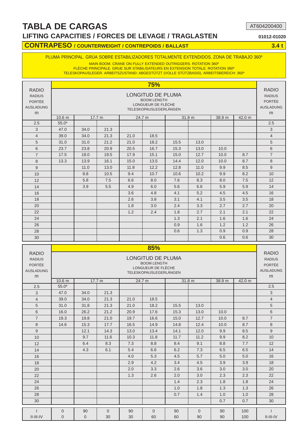### **TABLA DE CARGAS LIFTING CAPACITIES / FORCES DE LEVAGE / TRAGLASTEN 01012-01020**

AT604200400

#### **CONTRAPESO / COUNTERWEIGHT / CONTREPOIDS / BALLAST 4.4 t 4.4 t 4.4 t 4.4 t 4.5 million and 4.4 t 4.4 t 4.4 t 4.4 t 4.4 t 4.4 t 4.4 t 4.4 t 4.4 t 4.4 t 4.4 t 4.4 t 4.4 t 4.4 t 4.4 t 4.4 t 4.4 t 4.4 t 4.4 t 4.4 t 4.4 t 4.4**

#### PLUMA PRINCIPAL. GRÚA SOBRE ESTABILIZADORES TOTALMENTE EXTENDIDOS. ZONA DE TRABAJO 360º

MAIN BOOM. CRANE ON FULLY EXTENDED OUTRIGGERS. ROTATION 360º

FLÈCHE PRINCIPALE. GRUE SUR STABILISATEURS EN EXTENSION TOTALE. ROTATION 360º TELESKOPAUSLEGER. ARBEITSZUSTAND: ABGESTÜTZT (VOLLE STÜTZBASIS). ARBEITSBEREICH: 360º

|                                                                         |                   |                                                                              |        |      | 75%                                                                                            |        |      |        |        |                                                                         |  |  |  |  |  |  |
|-------------------------------------------------------------------------|-------------------|------------------------------------------------------------------------------|--------|------|------------------------------------------------------------------------------------------------|--------|------|--------|--------|-------------------------------------------------------------------------|--|--|--|--|--|--|
| <b>RADIO</b><br><b>RADIUS</b><br><b>PORTÉE</b><br><b>AUSLADUNG</b><br>m |                   |                                                                              |        |      | LONGITUD DE PLUMA<br><b>BOOM LENGTH</b><br>LONGUEUR DE FLÈCHE<br><b>TELESKOPAUSLEGERLÄNGEN</b> |        |      |        |        | <b>RADIO</b><br><b>RADIUS</b><br><b>PORTÉE</b><br><b>AUSLADUNG</b><br>m |  |  |  |  |  |  |
|                                                                         | 10.6 <sub>m</sub> |                                                                              | 17.7 m |      | 24.7 m                                                                                         | 31.8 m |      | 38.9 m | 42.0 m |                                                                         |  |  |  |  |  |  |
| 2.5                                                                     | $55.0*$           |                                                                              |        |      |                                                                                                |        |      |        |        | 2.5                                                                     |  |  |  |  |  |  |
| 3                                                                       | 47.0              | 34.0                                                                         | 21.3   |      |                                                                                                |        |      |        |        | 3                                                                       |  |  |  |  |  |  |
| $\overline{4}$                                                          | 39.0              | 21.3<br>18.5<br>34.0<br>21.0<br>21.2<br>18.2<br>31.0<br>21.0<br>15.5<br>13.0 |        |      |                                                                                                |        |      |        |        |                                                                         |  |  |  |  |  |  |
| 5                                                                       | 31.0              |                                                                              |        |      |                                                                                                |        |      |        |        |                                                                         |  |  |  |  |  |  |
| 6                                                                       | 23.7              | 20.9<br>20.5<br>16.7<br>15.3<br>13.0<br>10.0<br>23.8                         |        |      |                                                                                                |        |      |        |        |                                                                         |  |  |  |  |  |  |
| $\overline{7}$                                                          | 17.5              | 18.0                                                                         | 19.5   | 17.9 | 15.1                                                                                           | 15.0   | 12.7 | 10.0   | 8.7    | $\overline{7}$                                                          |  |  |  |  |  |  |
| 8                                                                       | 13.3              | 13.9                                                                         | 16.1   | 15.0 | 13.5                                                                                           | 14.4   | 12.0 | 10.0   | 8.7    | 8                                                                       |  |  |  |  |  |  |
| $\overline{9}$                                                          |                   | 11.0                                                                         | 13.0   | 11.8 | 12.2                                                                                           | 12.8   | 11.0 | 9.9    | 8.5    | 9                                                                       |  |  |  |  |  |  |
| 10                                                                      |                   | 8.8                                                                          | 10.5   | 9.4  | 10.7                                                                                           | 10.6   | 10.2 | 9.9    | 8.2    | 10                                                                      |  |  |  |  |  |  |
| 12                                                                      |                   | 5.8                                                                          | 7.5    | 6.6  | 8.0                                                                                            | 7.6    | 8.3  | 8.0    | 7.5    | 12                                                                      |  |  |  |  |  |  |
| 14                                                                      |                   | 3.9                                                                          | 5.5    | 4.9  | 6.0                                                                                            | 5.6    | 6.6  | 5.9    | 5.9    | 14                                                                      |  |  |  |  |  |  |
| 16                                                                      |                   |                                                                              |        | 3.6  | 4.8                                                                                            | 4.1    | 5.2  | 4.5    | 4.5    | 16                                                                      |  |  |  |  |  |  |
| 18                                                                      |                   |                                                                              |        | 2.6  | 3.8                                                                                            | 3.1    | 4.1  | 3.5    | 3.5    | 18                                                                      |  |  |  |  |  |  |
| 20                                                                      |                   |                                                                              |        | 1.8  | 3.0                                                                                            | 2.4    | 3.3  | 2.7    | 2.7    | 20                                                                      |  |  |  |  |  |  |
| 22                                                                      |                   |                                                                              |        | 1.2  | 2.4                                                                                            | 1.8    | 2.7  | 2.1    | 2.1    | 22                                                                      |  |  |  |  |  |  |
| 24                                                                      |                   |                                                                              |        |      |                                                                                                | 1.3    | 2.1  | 1.6    | 1.6    | 24                                                                      |  |  |  |  |  |  |
| 26                                                                      |                   |                                                                              |        |      |                                                                                                | 0.9    | 1.6  | 1.2    | 1.2    | 26                                                                      |  |  |  |  |  |  |
| 28                                                                      |                   |                                                                              |        |      |                                                                                                | 0.6    | 1.3  | 0.9    | 0.9    | 28                                                                      |  |  |  |  |  |  |
| 30                                                                      |                   |                                                                              |        |      |                                                                                                |        |      | 0.6    | 0.6    | 30                                                                      |  |  |  |  |  |  |

|                                                                         |                   |                                                                                      |          |      | 85%                                                                                            |      |              |        |        |                                                                         |  |  |  |  |  |  |
|-------------------------------------------------------------------------|-------------------|--------------------------------------------------------------------------------------|----------|------|------------------------------------------------------------------------------------------------|------|--------------|--------|--------|-------------------------------------------------------------------------|--|--|--|--|--|--|
| <b>RADIO</b><br><b>RADIUS</b><br><b>PORTÉE</b><br><b>AUSLADUNG</b><br>m |                   |                                                                                      |          |      | <b>LONGITUD DE PLUMA</b><br><b>BOOM LENGTH</b><br>LONGUEUR DE FLÈCHE<br>TELESKOPAUSLEGERLÄNGEN |      |              |        |        | <b>RADIO</b><br><b>RADIUS</b><br><b>PORTÉE</b><br><b>AUSLADUNG</b><br>m |  |  |  |  |  |  |
|                                                                         | 10.6 <sub>m</sub> |                                                                                      | 17.7 m   |      | 24.7 m                                                                                         |      | 31.8 m       | 38.9 m | 42.0 m |                                                                         |  |  |  |  |  |  |
| 2.5                                                                     | $55.0*$           |                                                                                      |          |      |                                                                                                |      |              |        |        | 2.5                                                                     |  |  |  |  |  |  |
| 3                                                                       | 47.0              | 34.0                                                                                 | 21.3     |      |                                                                                                |      |              |        |        | 3                                                                       |  |  |  |  |  |  |
| $\overline{4}$                                                          | 39.0              | 21.3<br>21.0<br>18.5<br>34.0<br>31.0<br>31.8<br>21.3<br>21.0<br>18.2<br>13.0<br>15.5 |          |      |                                                                                                |      |              |        |        |                                                                         |  |  |  |  |  |  |
| 5                                                                       |                   | 26.2<br>21.2<br>20.9<br>17.6<br>13.0<br>10.0<br>15.3                                 |          |      |                                                                                                |      |              |        |        |                                                                         |  |  |  |  |  |  |
| 6                                                                       | 16.0              | 8.7                                                                                  |          |      |                                                                                                |      |              |        |        |                                                                         |  |  |  |  |  |  |
| $\overline{7}$                                                          | 19.3              | 19.8<br>21.0<br>16.6<br>15.0<br>12.7<br>19.7<br>10.0                                 |          |      |                                                                                                |      |              |        |        |                                                                         |  |  |  |  |  |  |
| 8                                                                       | 14.6              | 15.3                                                                                 | 17.7     | 16.5 | 14.9                                                                                           | 14.8 | 12.4         | 10.0   | 8.7    | 8                                                                       |  |  |  |  |  |  |
| 9                                                                       |                   | 12.1                                                                                 | 14.3     | 13.0 | 13.4                                                                                           | 14.1 | 12.0         | 9.9    | 8.5    | 9                                                                       |  |  |  |  |  |  |
| 10                                                                      |                   | 9.7                                                                                  | 11.6     | 10.3 | 11.8                                                                                           | 11.7 | 11.2         | 9.9    | 8.2    | 10                                                                      |  |  |  |  |  |  |
| 12                                                                      |                   | 6.4                                                                                  | 8.3      | 7.3  | 8.8                                                                                            | 8.4  | 9.1          | 8.8    | 7.7    | 12                                                                      |  |  |  |  |  |  |
| 14                                                                      |                   | 4.3                                                                                  | 6.1      | 5.4  | 6.6                                                                                            | 6.2  | 7.3          | 6.5    | 6.5    | 14                                                                      |  |  |  |  |  |  |
| 16                                                                      |                   |                                                                                      |          | 4.0  | 5.3                                                                                            | 4.5  | 5.7          | 5.0    | 5.0    | 16                                                                      |  |  |  |  |  |  |
| 18                                                                      |                   |                                                                                      |          | 2.9  | 4.2                                                                                            | 3.4  | 4.5          | 3.9    | 3.9    | 18                                                                      |  |  |  |  |  |  |
| 20                                                                      |                   |                                                                                      |          | 2.0  | 3.3                                                                                            | 2.6  | 3.6          | 3.0    | 3.0    | 20                                                                      |  |  |  |  |  |  |
| 22                                                                      |                   |                                                                                      |          | 1.3  | 2.6                                                                                            | 2.0  | 3.0          | 2.3    | 2.3    | 22                                                                      |  |  |  |  |  |  |
| 24                                                                      |                   |                                                                                      |          |      |                                                                                                | 1.4  | 2.3          | 1.8    | 1.8    | 24                                                                      |  |  |  |  |  |  |
| 26                                                                      |                   |                                                                                      |          |      |                                                                                                | 1.0  | 1.8          | 1.3    | 1.3    | 26                                                                      |  |  |  |  |  |  |
| 28                                                                      |                   |                                                                                      |          |      |                                                                                                | 0.7  | 1.4          | 1.0    | 1.0    | 28                                                                      |  |  |  |  |  |  |
| 30                                                                      |                   |                                                                                      |          |      |                                                                                                |      |              | 0.7    | 0.7    | 30                                                                      |  |  |  |  |  |  |
|                                                                         | $\overline{0}$    | 90                                                                                   | $\Omega$ | 90   | $\Omega$                                                                                       | 90   | $\mathbf{0}$ | 90     | 100    |                                                                         |  |  |  |  |  |  |
| $II$ - $III$ - $IV$                                                     | $\overline{0}$    | $\overline{0}$                                                                       | 30       | 30   | 60                                                                                             | 60   | 90           | 90     | 100    | $II$ - $III$ - $IV$                                                     |  |  |  |  |  |  |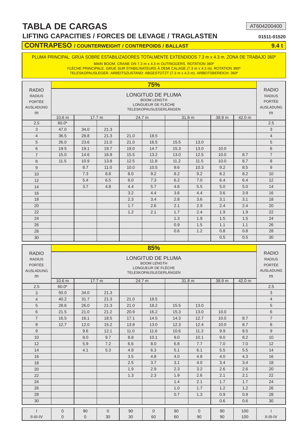#### **LIFTING CAPACITIES / FORCES DE LEVAGE / TRAGLASTEN 01511-01520**

AT604200400

#### **CONTRAPESO / COUNTERWEIGHT / CONTREPOIDS / BALLAST 44 CONTRAPESO / 8.4 t**

#### PLUMA PRINCIPAL. GRÚA SOBRE ESTABILIZADORES TOTALMENTE EXTENDIDOS 7.3 m x 4.3 m. ZONA DE TRABAJO 360º

MAIN BOOM. CRANE ON 7.3 m x 4.3 m OUTRIGGERS. ROTATION 360º

FLÈCHE PRINCIPALE. GRUE SUR STABILISATEURS À DEMI CALAGE (7.3 m x 4.3 m). ROTATION 360º TELESKOPAUSLEGER. ARBEITSZUSTAND: ABGESTÜTZT (7.3 m x 4.3 m). ARBEITSBEREICH: 360º

|                                                                         |                   |                                                                                      |        |      | <b>75%</b>                                                                              |      |        |        |        |                                                                         |  |  |  |  |  |  |
|-------------------------------------------------------------------------|-------------------|--------------------------------------------------------------------------------------|--------|------|-----------------------------------------------------------------------------------------|------|--------|--------|--------|-------------------------------------------------------------------------|--|--|--|--|--|--|
| <b>RADIO</b><br><b>RADIUS</b><br><b>PORTÉE</b><br><b>AUSLADUNG</b><br>m |                   |                                                                                      |        |      | LONGITUD DE PLUMA<br><b>BOOM LENGTH</b><br>LONGUEUR DE FLÈCHE<br>TELESKOPAUSLEGERLÄNGEN |      |        |        |        | <b>RADIO</b><br><b>RADIUS</b><br><b>PORTÉE</b><br><b>AUSLADUNG</b><br>m |  |  |  |  |  |  |
|                                                                         | 10.6 <sub>m</sub> |                                                                                      | 17.7 m |      | 24.7 m                                                                                  |      | 31.8 m | 38.9 m | 42.0 m |                                                                         |  |  |  |  |  |  |
| 2.5                                                                     | $60.0*$           |                                                                                      |        |      |                                                                                         |      |        |        |        | 2.5                                                                     |  |  |  |  |  |  |
| 3                                                                       | 47.0              | 34.0                                                                                 | 21.3   |      |                                                                                         |      |        |        |        | 3                                                                       |  |  |  |  |  |  |
| $\overline{4}$                                                          | 36.5              | 28.8<br>21.3<br>18.5<br>21.0<br>26.0<br>23.6<br>21.0<br>21.0<br>16.5<br>15.5<br>13.0 |        |      |                                                                                         |      |        |        |        |                                                                         |  |  |  |  |  |  |
| 5                                                                       |                   |                                                                                      |        |      |                                                                                         |      |        |        |        |                                                                         |  |  |  |  |  |  |
| 6                                                                       | 19.5              | 19.1<br>14.7<br>15.3<br>19.7<br>19.0<br>13.0<br>10.0                                 |        |      |                                                                                         |      |        |        |        |                                                                         |  |  |  |  |  |  |
| $\overline{7}$                                                          | 15.0              | 14.6                                                                                 | 16.8   | 15.5 | 13.2                                                                                    | 13.0 | 12.5   | 10.0   | 8.7    | $\overline{7}$                                                          |  |  |  |  |  |  |
| 8                                                                       | 11.5              | 10.9                                                                                 | 13.8   | 12.5 | 11.8                                                                                    | 11.2 | 11.5   | 10.0   | 8.7    | 8                                                                       |  |  |  |  |  |  |
| 9                                                                       |                   | 8.7                                                                                  | 11.0   | 10.0 | 10.5                                                                                    | 9.6  | 10.3   | 9.2    | 8.5    | 9                                                                       |  |  |  |  |  |  |
| 10                                                                      |                   | 7.3                                                                                  | 8.8    | 8.0  | 9.2                                                                                     | 8.2  | 9.2    | 8.2    | 8.2    | 10                                                                      |  |  |  |  |  |  |
| 12                                                                      |                   | 5.4                                                                                  | 6.5    | 6.0  | 7.3                                                                                     | 6.2  | 7.0    | 6.4    | 6.4    | 12                                                                      |  |  |  |  |  |  |
| 14                                                                      |                   | 3.7                                                                                  | 4.8    | 4.4  | 5.7                                                                                     | 4.6  | 5.5    | 5.0    | 5.0    | 14                                                                      |  |  |  |  |  |  |
| 16                                                                      |                   |                                                                                      |        | 3.2  | 4.4                                                                                     | 3.6  | 4.4    | 3.6    | 3.9    | 16                                                                      |  |  |  |  |  |  |
| 18                                                                      |                   |                                                                                      |        | 2.3  | 3.4                                                                                     | 2.8  | 3.6    | 3.1    | 3.1    | 18                                                                      |  |  |  |  |  |  |
| 20                                                                      |                   |                                                                                      |        | 1.7  | 2.6                                                                                     | 2.1  | 2.9    | 2.4    | 2.4    | 20                                                                      |  |  |  |  |  |  |
| 22                                                                      |                   |                                                                                      |        | 1.2  | 2.1                                                                                     | 1.7  | 2.4    | 1.9    | 1.9    | 22                                                                      |  |  |  |  |  |  |
| 24                                                                      |                   |                                                                                      |        |      |                                                                                         | 1.3  | 1.9    | 1.5    | 1.5    | 24                                                                      |  |  |  |  |  |  |
| 26                                                                      |                   |                                                                                      |        |      |                                                                                         | 0.9  | 1.5    | 1.1    | 1.1    | 26                                                                      |  |  |  |  |  |  |
| 28                                                                      |                   |                                                                                      |        |      |                                                                                         | 0.6  | 1.2    | 0.8    | 0.8    | 28                                                                      |  |  |  |  |  |  |
| 30                                                                      |                   |                                                                                      |        |      |                                                                                         |      |        | 0.5    | 0.5    | 30                                                                      |  |  |  |  |  |  |

|                                                                         |                   |                                                                                      |                |      | 85%                                                                                            |      |              |        |        |                                                                         |  |  |  |  |  |  |
|-------------------------------------------------------------------------|-------------------|--------------------------------------------------------------------------------------|----------------|------|------------------------------------------------------------------------------------------------|------|--------------|--------|--------|-------------------------------------------------------------------------|--|--|--|--|--|--|
| <b>RADIO</b><br><b>RADIUS</b><br><b>PORTÉE</b><br><b>AUSLADUNG</b><br>m |                   |                                                                                      |                |      | <b>LONGITUD DE PLUMA</b><br><b>BOOM LENGTH</b><br>LONGUEUR DE FLÈCHE<br>TELESKOPAUSLEGERLÄNGEN |      |              |        |        | <b>RADIO</b><br><b>RADIUS</b><br><b>PORTÉE</b><br><b>AUSLADUNG</b><br>m |  |  |  |  |  |  |
|                                                                         | 10.6 <sub>m</sub> |                                                                                      | 17.7 m         |      | 24.7 m                                                                                         |      | 31.8 m       | 38.9 m | 42.0 m |                                                                         |  |  |  |  |  |  |
| 2.5                                                                     | $60.0*$           |                                                                                      |                |      |                                                                                                |      |              |        |        | 2.5                                                                     |  |  |  |  |  |  |
| 3                                                                       | 50.0              | 34.0                                                                                 | 21.3           |      |                                                                                                |      |              |        |        | 3                                                                       |  |  |  |  |  |  |
| $\overline{4}$                                                          | 40.2              | 31.7<br>21.3<br>21.0<br>18.5<br>28.6<br>26.0<br>21.3<br>21.0<br>18.2<br>15.5<br>13.0 |                |      |                                                                                                |      |              |        |        |                                                                         |  |  |  |  |  |  |
| 5                                                                       |                   | 21.2<br>16.2<br>15.3<br>21.0<br>20.9<br>13.0<br>10.0                                 |                |      |                                                                                                |      |              |        |        |                                                                         |  |  |  |  |  |  |
| 6                                                                       | 21.5              |                                                                                      |                |      |                                                                                                |      |              |        |        |                                                                         |  |  |  |  |  |  |
| $\overline{7}$                                                          | 16.5              | 14.5<br>16.1<br>18.5<br>17.1<br>14.3<br>12.7<br>10.0<br>8.7                          |                |      |                                                                                                |      |              |        |        |                                                                         |  |  |  |  |  |  |
| 8                                                                       | 12.7              | 12.0                                                                                 | 15.2           | 13.8 | 13.0                                                                                           | 12.3 | 12.4         | 10.0   | 8.7    | 8                                                                       |  |  |  |  |  |  |
| 9                                                                       |                   | 9.6                                                                                  | 12.1           | 11.0 | 11.6                                                                                           | 10.6 | 11.3         | 9.9    | 8.5    | 9                                                                       |  |  |  |  |  |  |
| 10                                                                      |                   | 8.0                                                                                  | 9.7            | 8.8  | 10.1                                                                                           | 9.0  | 10.1         | 9.0    | 8.2    | 10                                                                      |  |  |  |  |  |  |
| 12                                                                      |                   | 5.9                                                                                  | 7.2            | 6.6  | 8.0                                                                                            | 6.8  | 7.7          | 7.0    | 7.0    | 12                                                                      |  |  |  |  |  |  |
| 14                                                                      |                   | 4.1                                                                                  | 5.3            | 4.8  | 6.3                                                                                            | 5.1  | 6.1          | 5.5    | 5.5    | 14                                                                      |  |  |  |  |  |  |
| 16                                                                      |                   |                                                                                      |                | 3.5  | 4.8                                                                                            | 4.0  | 4.8          | 4.0    | 4.3    | 16                                                                      |  |  |  |  |  |  |
| 18                                                                      |                   |                                                                                      |                | 2.5  | 3.7                                                                                            | 3.1  | 4.0          | 3.4    | 3.4    | 18                                                                      |  |  |  |  |  |  |
| 20                                                                      |                   |                                                                                      |                | 1.9  | 2.9                                                                                            | 2.3  | 3.2          | 2.6    | 2.6    | 20                                                                      |  |  |  |  |  |  |
| 22                                                                      |                   |                                                                                      |                | 1.3  | 2.3                                                                                            | 1.9  | 2.6          | 2.1    | 2.1    | 22                                                                      |  |  |  |  |  |  |
| 24                                                                      |                   |                                                                                      |                |      |                                                                                                | 1.4  | 2.1          | 1.7    | 1.7    | 24                                                                      |  |  |  |  |  |  |
| 26                                                                      |                   |                                                                                      |                |      |                                                                                                | 1.0  | 1.7          | 1.2    | 1.2    | 26                                                                      |  |  |  |  |  |  |
| 28                                                                      |                   |                                                                                      |                |      |                                                                                                | 0.7  | 1.3          | 0.9    | 0.9    | 28                                                                      |  |  |  |  |  |  |
| 30                                                                      |                   |                                                                                      |                |      |                                                                                                |      |              | 0.6    | 0.6    | 30                                                                      |  |  |  |  |  |  |
| $\mathbf{I}$                                                            | $\overline{0}$    | 90                                                                                   | $\overline{0}$ | 90   | $\Omega$                                                                                       | 90   | $\mathbf{0}$ | 90     | 100    |                                                                         |  |  |  |  |  |  |
| $II$ - $III$ - $IV$                                                     | $\overline{0}$    | $\overline{0}$                                                                       | 30             | 30   | 60                                                                                             | 60   | 90           | 90     | 100    | $II$ - $III$ -IV                                                        |  |  |  |  |  |  |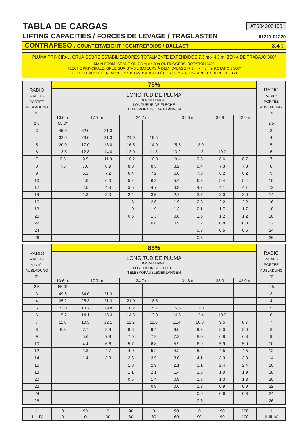**LIFTING CAPACITIES / FORCES DE LEVAGE / TRAGLASTEN 01211-01220**

AT604200400

#### **CONTRAPESO / COUNTERWEIGHT / CONTREPOIDS / BALLAST 4.4 t 4.4 t 4.4 t 4.4 t 4.5 million and 4.4 t 4.4 t 4.4 t 4.4 t 4.4 t 4.4 t 4.4 t 4.4 t 4.4 t 4.4 t 4.4 t 4.4 t 4.4 t 4.4 t 4.4 t 4.4 t 4.4 t 4.4 t 4.4 t 4.4 t 4.4 t 4.4**

PLUMA PRINCIPAL. GRÚA SOBRE ESTABILIZADORES TOTALMENTE EXTENDIDOS 7.3 m x 4.3 m. ZONA DE TRABAJO 360º

MAIN BOOM. CRANE ON 7.3 m x 4.3 m OUTRIGGERS. ROTATION 360º

FLÈCHE PRINCIPALE. GRUE SUR STABILISATEURS À DEMI CALAGE (7.3 m x 4.3 m). ROTATION 360º TELESKOPAUSLEGER. ARBEITSZUSTAND: ABGESTÜTZT (7.3 m x 4.3 m). ARBEITSBEREICH: 360º

|                                                                         |                   |                                                                                      |        |      | 75%                                                                                     |      |        |        |        |                                                                         |  |  |  |  |  |  |
|-------------------------------------------------------------------------|-------------------|--------------------------------------------------------------------------------------|--------|------|-----------------------------------------------------------------------------------------|------|--------|--------|--------|-------------------------------------------------------------------------|--|--|--|--|--|--|
| <b>RADIO</b><br><b>RADIUS</b><br><b>PORTÉE</b><br><b>AUSLADUNG</b><br>m |                   |                                                                                      |        |      | LONGITUD DE PLUMA<br><b>BOOM LENGTH</b><br>LONGUEUR DE FLÈCHE<br>TELESKOPAUSLEGERLÄNGEN |      |        |        |        | <b>RADIO</b><br><b>RADIUS</b><br><b>PORTÉE</b><br><b>AUSLADUNG</b><br>m |  |  |  |  |  |  |
|                                                                         | 10.6 <sub>m</sub> |                                                                                      | 17.7 m |      | 24.7 m                                                                                  |      | 31.8 m | 38.9 m | 42.0 m |                                                                         |  |  |  |  |  |  |
| 2.5                                                                     | $55.0*$           |                                                                                      |        |      |                                                                                         |      |        |        |        | 2.5                                                                     |  |  |  |  |  |  |
| 3                                                                       | 45.0              | 32.0                                                                                 | 21.3   |      |                                                                                         |      |        |        |        | 3                                                                       |  |  |  |  |  |  |
| $\overline{4}$                                                          | 32.0              | 21.3<br>23.0<br>21.0<br>18.5<br>20.0<br>17.0<br>18.0<br>16.5<br>14.0<br>15,5<br>13.0 |        |      |                                                                                         |      |        |        |        |                                                                         |  |  |  |  |  |  |
| 5                                                                       |                   |                                                                                      |        |      |                                                                                         |      |        |        |        |                                                                         |  |  |  |  |  |  |
| 6                                                                       | 13.8              | 11.8<br>13.2<br>11.3<br>12.8<br>14.0<br>13.0<br>10.0                                 |        |      |                                                                                         |      |        |        |        |                                                                         |  |  |  |  |  |  |
| $\overline{7}$                                                          | 9.8               | 9.5                                                                                  | 11.0   | 10.2 | 10.0                                                                                    | 10.4 | 9.8    | 8.6    | 8.7    | $\overline{7}$                                                          |  |  |  |  |  |  |
| 8                                                                       | 7.5               | 7.0                                                                                  | 8.9    | 8.0  | 8.5                                                                                     | 8.2  | 8.4    | 7.3    | 7.3    | 8                                                                       |  |  |  |  |  |  |
| 9                                                                       |                   | 5.1                                                                                  | 7.2    | 6.4  | 7.2                                                                                     | 6.6  | 7.3    | 6.2    | 6.2    | 9                                                                       |  |  |  |  |  |  |
| 10                                                                      |                   | 4.0                                                                                  | 6.0    | 5.2  | 6.2                                                                                     | 5.4  | 6.3    | 5.4    | 5.4    | 10                                                                      |  |  |  |  |  |  |
| 12                                                                      |                   | 2.5                                                                                  | 4.3    | 3.6  | 4.7                                                                                     | 3.8  | 4.7    | 4.1    | 4.1    | 12                                                                      |  |  |  |  |  |  |
| 14                                                                      |                   | 1.3                                                                                  | 3.0    | 2.4  | 3.5                                                                                     | 2.7  | 3.7    | 3.0    | 3.0    | 14                                                                      |  |  |  |  |  |  |
| 16                                                                      |                   |                                                                                      |        | 1.6  | 2.6                                                                                     | 1.9  | 2.8    | 2.2    | 2.2    | 16                                                                      |  |  |  |  |  |  |
| 18                                                                      |                   |                                                                                      |        | 1.0  | 1.9                                                                                     | 1.3  | 2.1    | 1.7    | 1.7    | 18                                                                      |  |  |  |  |  |  |
| 20                                                                      |                   |                                                                                      |        | 0.5  | 1.3                                                                                     | 0.8  | 1.6    | 1.2    | 1.2    | 20                                                                      |  |  |  |  |  |  |
| 22                                                                      |                   |                                                                                      |        |      | 0.8                                                                                     | 0.5  | 1.2    | 0.8    | 0.8    | 22                                                                      |  |  |  |  |  |  |
| 24                                                                      |                   |                                                                                      |        |      |                                                                                         |      | 0.8    | 0.5    | 0.5    | 24                                                                      |  |  |  |  |  |  |
| 26                                                                      |                   |                                                                                      |        |      |                                                                                         |      | 0.5    |        |        | 26                                                                      |  |  |  |  |  |  |

|                                                                         |                   |                                                                              |                |     | 85%                                                                                     |     |              |        |        |                                                                         |  |  |  |  |  |  |
|-------------------------------------------------------------------------|-------------------|------------------------------------------------------------------------------|----------------|-----|-----------------------------------------------------------------------------------------|-----|--------------|--------|--------|-------------------------------------------------------------------------|--|--|--|--|--|--|
| <b>RADIO</b><br><b>RADIUS</b><br><b>PORTÉE</b><br><b>AUSLADUNG</b><br>m |                   |                                                                              |                |     | LONGITUD DE PLUMA<br><b>BOOM LENGTH</b><br>LONGUEUR DE FLÈCHE<br>TELESKOPAUSLEGERLÄNGEN |     |              |        |        | <b>RADIO</b><br><b>RADIUS</b><br><b>PORTÉE</b><br><b>AUSLADUNG</b><br>m |  |  |  |  |  |  |
|                                                                         | 10.6 <sub>m</sub> |                                                                              | 17.7 m         |     | 24.7 m                                                                                  |     | 31.8 m       | 38.9 m | 42.0 m |                                                                         |  |  |  |  |  |  |
| 2.5                                                                     | $55.0*$           |                                                                              |                |     |                                                                                         |     |              |        |        | 2.5                                                                     |  |  |  |  |  |  |
| 3                                                                       | 49.5              | 34.0                                                                         | 21.3           |     |                                                                                         |     |              |        |        | 3                                                                       |  |  |  |  |  |  |
| $\overline{4}$                                                          | 35.2              | 25.3<br>21.3<br>18.5<br>21.0<br>18.7<br>19.8<br>18.2<br>15.4<br>15,5<br>13.0 |                |     |                                                                                         |     |              |        |        |                                                                         |  |  |  |  |  |  |
| 5                                                                       | 22.0              | 10.0                                                                         |                |     |                                                                                         |     |              |        |        |                                                                         |  |  |  |  |  |  |
| $6\phantom{1}$                                                          | 15.2              | 15.4<br>14.3<br>13.0<br>14.5<br>12.4<br>14.1                                 |                |     |                                                                                         |     |              |        |        |                                                                         |  |  |  |  |  |  |
| $\overline{7}$                                                          | 11.8              | 10.5<br>12.1<br>11.2<br>11.0<br>11.4<br>10.8<br>8.7<br>9.5                   |                |     |                                                                                         |     |              |        |        |                                                                         |  |  |  |  |  |  |
| 8                                                                       | 8.3               | 7.7                                                                          | 9.8            | 8.8 | 9.4                                                                                     | 9.0 | 9.2          | 8.0    | 8.0    | 8                                                                       |  |  |  |  |  |  |
| 9                                                                       |                   | 5.6                                                                          | 7.9            | 7.0 | 7.9                                                                                     | 7.3 | 8.0          | 6.8    | 6.8    | 9                                                                       |  |  |  |  |  |  |
| 10                                                                      |                   | 4.4                                                                          | 6.6            | 5.7 | 6.8                                                                                     | 5.9 | 6.9          | 5.9    | 5.9    | 10                                                                      |  |  |  |  |  |  |
| 12                                                                      |                   | 2.8                                                                          | 4.7            | 4.0 | 5.2                                                                                     | 4.2 | 5.2          | 4.5    | 4.5    | 12                                                                      |  |  |  |  |  |  |
| 14                                                                      |                   | 1.4                                                                          | 3.3            | 2.6 | 3.9                                                                                     | 3.0 | 4.1          | 3.3    | 3.3    | 14                                                                      |  |  |  |  |  |  |
| 16                                                                      |                   |                                                                              |                | 1.8 | 2.9                                                                                     | 2.1 | 3.1          | 2.4    | 2.4    | 16                                                                      |  |  |  |  |  |  |
| 18                                                                      |                   |                                                                              |                | 1.1 | 2.1                                                                                     | 1.4 | 2.3          | 1.9    | 1.9    | 18                                                                      |  |  |  |  |  |  |
| 20                                                                      |                   |                                                                              |                | 0.6 | 1.4                                                                                     | 0.9 | 1.8          | 1.3    | 1.3    | 20                                                                      |  |  |  |  |  |  |
| 22                                                                      |                   |                                                                              |                |     | 0.9                                                                                     | 0.6 | 1.3          | 0.9    | 0.9    | 22                                                                      |  |  |  |  |  |  |
| 24                                                                      |                   |                                                                              |                |     |                                                                                         |     | 0.9          | 0.6    | 0.6    | 24                                                                      |  |  |  |  |  |  |
| 26                                                                      |                   |                                                                              |                |     |                                                                                         |     | 0.6          |        |        | 26                                                                      |  |  |  |  |  |  |
|                                                                         | $\overline{0}$    | 90                                                                           | $\overline{0}$ | 90  | $\Omega$                                                                                | 90  | $\mathbf{0}$ | 90     | 100    |                                                                         |  |  |  |  |  |  |
| $II$ - $III$ -IV                                                        | $\overline{0}$    | $\overline{0}$                                                               | 30             | 30  | 60                                                                                      | 60  | 90           | 90     | 100    | $II$ - $III$ -IV                                                        |  |  |  |  |  |  |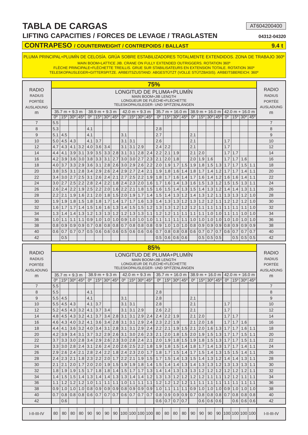#### **LIFTING CAPACITIES / FORCES DE LEVAGE / TRAGLASTEN 04312-04320**

AT604200400

#### **CONTRAPESO / COUNTERWEIGHT / CONTREPOIDS / BALLAST 9.4 t**

PLUMA PRINCIPAL+PLUMÍN DE CELOSÍA. GRÚA SOBRE ESTABILIZADORES TOTALMENTE EXTENDIDOS. ZONA DE TRABAJO 360º

MAIN BOOM+LATTICE JIB. CRANE ON FULLY EXTENDED OUTRIGGERS. ROTATION 360<sup>°</sup> FLÈCHE PRINCIPALE+FLÉCHETTE TREILLIS. GRUE SUR STABILISATEURS EN EXTENSION TOTALE. ROTATION 360º

TELESKOPAUSLEGER+GITTERSPITZE. ARBEITSZUSTAND: ABGESTÜTZT (VOLLE STÜTZBASIS). ARBEITSBEREICH: 360º

| RADIO<br><b>RADIUS</b><br><b>PORTÉE</b><br><b>AUSLADUNG</b> |                |                  |                                                 |                   |                           |            |                                          |            |                       |            |                                                 |                     | 75%<br>LONGITUD DE PLUMA+PLUMÍN<br>MAIN BOOM+JIB LENGTH<br>LONGUEUR DE FLÉCHE+FLÉCHETTE<br>TELESKOPAUSLEGER- UND SPITZENLÄNGEN |                   |     |                                                 |             |                   |            |                                          |             |            |                                                 |                            | <b>RADIO</b><br><b>RADIUS</b><br><b>PORTÉE</b><br><b>AUSLADUNG</b> |
|-------------------------------------------------------------|----------------|------------------|-------------------------------------------------|-------------------|---------------------------|------------|------------------------------------------|------------|-----------------------|------------|-------------------------------------------------|---------------------|--------------------------------------------------------------------------------------------------------------------------------|-------------------|-----|-------------------------------------------------|-------------|-------------------|------------|------------------------------------------|-------------|------------|-------------------------------------------------|----------------------------|--------------------------------------------------------------------|
| m                                                           |                |                  | $35.7 m + 9.3 m$                                |                   |                           |            | $38.9 m + 9.3 m$                         |            |                       |            | $42.0 m + 9.3 m$                                |                     |                                                                                                                                | $35.7 m + 16.0 m$ |     |                                                 |             | $38.9 m + 16.0 m$ |            |                                          |             |            | $42.0 m + 16.0 m$                               |                            | m                                                                  |
|                                                             | 0 <sup>o</sup> |                  | 15 <sup>o</sup> 30 <sup>o</sup> 45 <sup>o</sup> |                   | $0^{\circ}$               |            | $15^{\circ}$ 30 $^{\circ}$ 45 $^{\circ}$ |            | 0 <sup>o</sup>        |            | $ 15^{\circ} 30^{\circ} 45^{\circ}$             |                     | $0^{\circ}$                                                                                                                    |                   |     | 15 <sup>°</sup> 30 <sup>°</sup> 45 <sup>°</sup> | $0^{\circ}$ |                   |            | $15^{\circ}$ 30 $^{\circ}$ 45 $^{\circ}$ | $0^{\circ}$ |            | 15° 30° 45°                                     |                            |                                                                    |
| $\overline{7}$                                              | 5.5            |                  |                                                 |                   |                           |            |                                          |            |                       |            |                                                 |                     |                                                                                                                                |                   |     |                                                 |             |                   |            |                                          |             |            |                                                 |                            | $\overline{7}$                                                     |
| 8                                                           | 5.3            |                  |                                                 |                   | 4.1                       |            |                                          |            |                       |            |                                                 |                     | 2.8                                                                                                                            |                   |     |                                                 |             |                   |            |                                          |             |            |                                                 |                            | 8                                                                  |
| 9                                                           | 5.1            | 4.5              |                                                 |                   | 4.1                       |            |                                          |            | 3.1                   |            |                                                 |                     | 2.7                                                                                                                            |                   |     |                                                 | 2.1         |                   |            |                                          |             |            |                                                 |                            | 9                                                                  |
| 10                                                          | 5.0            | 4.5              | 4.3                                             |                   | 4.1                       | 3.7        |                                          |            | 3.1                   | 3.1        |                                                 |                     | 2.6                                                                                                                            |                   |     |                                                 | 2.1         |                   |            |                                          | 1.7         |            |                                                 |                            | 10                                                                 |
| 12                                                          | 4.7            | 4.3              | 4.1                                             | 3.2               | 4.0                       | 3.6        | 3.4                                      |            | 3.1                   | 3.1        | 2.9                                             |                     | 2.4                                                                                                                            | 2.2               |     |                                                 | 2.1         |                   |            |                                          | 1.7         |            |                                                 |                            | 12                                                                 |
| 14                                                          | 4.4            | 4.1              | 3.9                                             | 3.1               | 3.9                       | 3.5        | 3.3                                      | 2.8        | 3.1                   | 3.1        | 2.8                                             | 2.4                 | 2.2                                                                                                                            | 2.1               | 1.9 |                                                 | 2.1         | 2.0               |            |                                          | 1.7         | 1.7        |                                                 |                            | 14                                                                 |
| 16                                                          | 4.2            | 3.9              | 3.6                                             | 3.0               | 3.8                       | 3.3        | 3.1                                      | 2.7        | 3.0                   | 3.0        | 2.7                                             | 2.3                 | 2.1                                                                                                                            | 2.0               | 1.8 |                                                 | 2.0         | 1.9               | 1.6        |                                          | 1.7         | 1.7        | 1.6                                             |                            | 16                                                                 |
| 18                                                          | 4.0            | 3.7              | 3.3                                             | 2.9               | 3.6                       | 3.1        | 2.8                                      | 2.6        | 3.0                   | 2.9        | 2.6                                             | 2.2                 | 2.0                                                                                                                            | 1.9               | 1.7 | 1.5                                             | 1.9         | 1.8               | 1.5        | 1.3                                      | 1.7         | 1.7        | 1.5                                             | 1.1                        | 18                                                                 |
| 20                                                          | 3.8            | 3.5              | 3.1                                             | 2.8               | 3.4                       | 2.9        | 2.6                                      | 2.4        | 2.9                   | 2.7        | 2.4                                             | 2.1                 | 1.9                                                                                                                            | 1.8               | 1.6 | 1.4                                             | 1.8         | 1.7               | 1.4        | 1.2                                      | 1.7         | 1.7        | 1.4                                             | 1.1                        | 20                                                                 |
| 22                                                          | 3.4            | 3.0              | 2.7                                             | 2.5               | 3.1                       | 2.6        | 2.4                                      | 2.1        | 2.7                   | 2.5        | 2.2                                             | 1.9                 | 1.8                                                                                                                            | 1.7               | 1.6 | 1.4                                             | 1.7         | 1.6               | 1.4        | 1.2                                      | 1.6         | 1.6        | 1.4                                             | 1.1                        | 22                                                                 |
| 24                                                          | 3.0            | 2.7              | 2.5                                             | 2.2               | 2.8                       | 2.4        | 2.2                                      | 1.8        | 2.4                   | 2.3        | 2.0                                             | 1.6                 | 1.7                                                                                                                            | 1.6               | 1.4 | 1.3                                             | 1.6         | 1.5               | 1.3        | 1.2                                      | 1.5         | 1.5        | 1.3                                             | 1.1                        | 24                                                                 |
| 26                                                          | 2.6            | 2.4              | 2.2                                             | 1.9               | 2.5                       | 2.2        | 2.0                                      | 1.6        | 2.2                   | 2.1        | 1.8                                             | 1.5                 | 1.6                                                                                                                            | 1.5               | 1.4 | 1.3                                             | 1.5         | 1.4               | 1.3        | 1.2                                      | 1.4         | 1.4        | 1.3                                             | 1.1                        | 26                                                                 |
| 28                                                          | 2.2            | 2.1              | 1.9                                             | 1.6               | 2.1                       | 2.0        | 1.8                                      | 1.5        | 2.0                   | 1.9        | 1.7                                             | 1.4                 | 1.5                                                                                                                            | 1.4               | 1.3 | 1.2                                             | 1.4         | 1.3               | 1.2        | 1.1                                      | 1.3         | 1.3        | 1.2                                             | 1.0                        | 28                                                                 |
| 30                                                          | 1.9            | 1.9              | 1.8                                             | 1.5               | 1.8                       | 1.8        | 1.7                                      | 1.4        | 1.7                   | 1.7        | 1.6                                             | 1.3                 | 1.4                                                                                                                            | 1.3               | 1.3 | 1.2                                             | 1.3         | 1.2               | 1.2        |                                          | $1.1$   1.2 | 1.2        | 1.2                                             | 1.0                        | 30                                                                 |
| 32                                                          | 1.6            | 1.7              | 1.7                                             | 1.4               | 1.5                       | 1.6        | 1.6                                      | 1.3        | 1.4                   | 1.5        | 1.5                                             | 1.2                 | 1.3                                                                                                                            | 1.3               | 1.2 | 1.2                                             | 1.2         | 1.1               | 1.1        | 1.1                                      | 1.1         | 1.1        | 1.1                                             | 1.0                        | 32                                                                 |
| 34                                                          | 1.3            | 1.4              | 1.4                                             | 1.3               | 1.2                       | 1.3        | 1.3                                      | 1.2        | 1.2                   | 1.3        | 1.3                                             | 1.1                 | 1.2                                                                                                                            | 1.2               |     | $1.1$   1.1                                     | 1.1         | 1.1               | 1.0        |                                          | $1.0$   1.1 | 1.1        | 1.0                                             | 1.0                        | 34                                                                 |
| 36<br>38                                                    | 1.0            | 1.1              | 1.1<br>0.9                                      | 1.1<br>0.9        | 0.9<br>0.7                | 1.0<br>0.8 | 1.0                                      | 1.0<br>0.8 | 0.9 <br>0.7           | 1.0<br>0.8 | 1.0<br>0.8                                      | 1.0                 | 1.1                                                                                                                            | 1.1<br>1.0        | 1.1 | 1.1                                             | 1.0<br>0.8  | 1.0<br>0.9        | 1.0<br>0.9 | 0.910.8                                  | 1.011.0     | 1.0<br>0.9 | 1.0<br>0.9                                      | 1.0<br>0.9                 | 36<br>38                                                           |
|                                                             | 0.8            | 0.9              |                                                 |                   |                           |            | 0.8                                      |            |                       |            |                                                 | 0.8                 | 0.9                                                                                                                            |                   |     | $1.0$   1.0                                     |             |                   |            |                                          |             |            |                                                 |                            |                                                                    |
| 40                                                          | 0.6            | 0.7              | 0.7                                             | 0.7               | 0.5                       | 0.6        | 0.6                                      | 0.6        | 0.5                   | 0.6        | 0.6                                             | 0.6                 | 0.7                                                                                                                            | 0.8               |     | 0.8 0.8                                         | 0.6         | 0.7               | 0.7        |                                          | 0.710.6     | 0.7        | 0.7                                             | 0.7                        | 40                                                                 |
| 42                                                          |                | 0.5              |                                                 |                   |                           |            |                                          |            |                       |            |                                                 |                     | 0.5                                                                                                                            | 0.6               |     | 0.6 0.6                                         |             | 0.5               | 0.5        | 0.5                                      |             | 0.5        | 0.5                                             | 0.5                        | 42                                                                 |
|                                                             |                |                  |                                                 |                   |                           |            |                                          |            |                       |            |                                                 | 85%                 |                                                                                                                                |                   |     |                                                 |             |                   |            |                                          |             |            |                                                 |                            |                                                                    |
| <b>RADIO</b>                                                |                |                  |                                                 |                   |                           |            |                                          |            |                       |            |                                                 |                     | LONGITUD DE PLUMA+PLUMÍN                                                                                                       |                   |     |                                                 |             |                   |            |                                          |             |            |                                                 |                            | <b>RADIO</b>                                                       |
| <b>RADIUS</b>                                               |                |                  |                                                 |                   |                           |            |                                          |            |                       |            |                                                 |                     | MAIN BOOM+JIB LENGTH                                                                                                           |                   |     |                                                 |             |                   |            |                                          |             |            |                                                 |                            | <b>RADIUS</b>                                                      |
| <b>PORTÉE</b>                                               |                |                  |                                                 |                   |                           |            |                                          |            |                       |            |                                                 |                     | LONGUEUR DE FLÉCHE+FLÉCHETTE<br>TELESKOPAUSLEGER- UND SPITZENLANGEN                                                            |                   |     |                                                 |             |                   |            |                                          |             |            |                                                 |                            | <b>PORTÉE</b>                                                      |
| <b>AUSLADUNG</b>                                            |                |                  | $35.7 m + 9.3 m$                                |                   |                           |            | $38.9 m + 9.3 m$                         |            |                       |            | $42.0 m + 9.3 m$                                |                     |                                                                                                                                | $35.7 m + 16.0 m$ |     |                                                 |             | $38.9 m + 16.0 m$ |            |                                          |             |            | $42.0 m + 16.0 m$                               |                            | <b>AUSLADUNG</b>                                                   |
| m                                                           | $0^{\circ}$    |                  | $15^{\circ}$ 30 $^{\circ}$ 45 $^{\circ}$        |                   | $0^{\circ}$               |            | $15^{\circ}$ 30 $^{\circ}$ 45 $^{\circ}$ |            | $0^{\circ}$           |            | 15 <sup>°</sup> 30 <sup>°</sup> 45 <sup>°</sup> |                     | $0^{\circ}$                                                                                                                    |                   |     | 15 <sup>°</sup> 30 <sup>°</sup> 45 <sup>°</sup> | $0^{\circ}$ |                   |            | $15^{\circ}$ 30 $^{\circ}$ 45 $^{\circ}$ | $0^{\circ}$ |            | 15 <sup>°</sup> 30 <sup>°</sup> 45 <sup>°</sup> |                            | m                                                                  |
| $\overline{7}$                                              | 5.5            |                  |                                                 |                   |                           |            |                                          |            |                       |            |                                                 |                     |                                                                                                                                |                   |     |                                                 |             |                   |            |                                          |             |            |                                                 |                            | $\overline{7}$                                                     |
| 8                                                           | 5.5            |                  |                                                 |                   | 4.1                       |            |                                          |            |                       |            |                                                 |                     | 2.8                                                                                                                            |                   |     |                                                 |             |                   |            |                                          |             |            |                                                 |                            | 8                                                                  |
| 9                                                           | 5.5            | 4.5              |                                                 |                   | 4.1                       |            |                                          |            | 3.1                   |            |                                                 |                     | 2.8                                                                                                                            |                   |     |                                                 | 2.1         |                   |            |                                          |             |            |                                                 |                            | 9                                                                  |
| 10                                                          | 5.5            | 4.5              | 4.3                                             |                   | 4.1                       | 3.7        |                                          |            | 3.1                   | 3.1        |                                                 |                     | 2.8                                                                                                                            |                   |     |                                                 | 2.1         |                   |            |                                          | 1.7         |            |                                                 |                            | 10                                                                 |
| 12                                                          | 5.2            |                  |                                                 |                   | $4.5$ 4.3 3.2 4.1 3.7 3.4 |            |                                          |            | 3.1                   | $3.1$ 2.9  |                                                 |                     | $2.6$ 2.2                                                                                                                      |                   |     |                                                 | 2.1         |                   |            |                                          | 1.7         |            |                                                 |                            | 12                                                                 |
| 14                                                          | 4.8            | 4.5              |                                                 | $4.3 \mid 3.2$    | 4.1                       | 3.7        | 3.4                                      |            | $2.8$ 3.1             | 3.1        | 2.9                                             | 2.4                 | 2.4                                                                                                                            | 2.2               | 1.9 |                                                 | 2.1         | 2.0               |            |                                          | 1.7         | 1.7        |                                                 |                            | 14                                                                 |
| 16                                                          | 4.6            | 4.3              |                                                 | $4.0$ 3.2         | 4.1                       | 3.6        | 3.4                                      |            | $2.8$ 3.1             | 3.1        | 2.9                                             | 2.4                 | 2.3                                                                                                                            | 2.2               | 1.9 |                                                 | 2.1         | 2.0               | 1.6        |                                          | 1.7         | 1.7        | 1.6                                             |                            | 16                                                                 |
| 18                                                          | 4.4            | 4.1              |                                                 | $3.6 \mid 3.2$    | 4.0                       | 3.4        | 3.1                                      |            | $2.8$ 3.1             | 3.1        | 2.9                                             | 2.4                 | 2.2                                                                                                                            | 2.1               |     | $1.9$   1.5                                     | 2.1         | 2.0               |            | $1.6$   1.3                              | 1.7         | 1.7        | 1.6                                             | 1.1                        | 18                                                                 |
| 20                                                          | 4.2            | 3.9              | 3.4                                             | 3.1               | 3.7                       | 3.2        | 2.9                                      |            | $2.6$ 3.1             | 3.0        | 2.6                                             | 2.3                 | 2.1                                                                                                                            | 2.0               |     | $1.8$   1.5                                     | 2.0         | 1.9               | 1.5        | 1.3                                      | 1.7         | 1.7        | 1.5                                             | 1.1                        | 20                                                                 |
| 22                                                          | 3.7            | 3.3 <sub>2</sub> |                                                 | $3.0$   2.8       | 3.4                       | 2.9        |                                          |            | $2.6$   $2.3$   $3.0$ | 2.8        | 2.4                                             | 2.1                 | 2.0                                                                                                                            | 1.9               |     | $1.8$   1.5                                     | 1.9         | 1.8               | 1.5        | 1.3                                      | 1.7         | 1.7        | 1.5                                             | 1.1                        | 22                                                                 |
| 24                                                          | 3.3            | 3.0              |                                                 | $2.8$   2.4       | 3.1                       |            | $2.6$   2.4   2.0   2.6   2.5            |            |                       |            | 2.2                                             | 1.8                 | 1.9                                                                                                                            | 1.8               |     | $1.5$   1.4                                     | 1.8         | 1.7               | 1.4        |                                          | $1.3$   1.7 | 1.7        | 1.4                                             | 1.1                        | 24                                                                 |
| 26                                                          | 2.9            | 2.6              | 2.4                                             | 2.1               | 2.8                       | 2.4        | 2.2                                      |            | $1.8$ 2.4             | 2.3        | 2.0                                             | 1.7                 | 1.8                                                                                                                            | 1.7               |     | $1.5$   1.4                                     | 1.7         | 1.5               | 1.4        |                                          | $1.3$   1.5 | 1.5        | 1.4                                             | 1.1                        | 26                                                                 |
| 28                                                          | 2.4            | 2.3              | 2.1                                             | 1.8               | 2.3                       | 2.2        | 2.0                                      |            | $1.7$ 2.2             | 2.1        | 1.9                                             | 1.5                 | 1.7                                                                                                                            | 1.5               | 1.4 | 1.3                                             | 1.5         | $\vert 1.4 \vert$ | 1.3        | 1.2                                      | 1.4         | 1.4        | 1.3                                             | 1.1                        | 28                                                                 |
| 30                                                          | 2.1            | 2.1              | 2.0                                             | 1.7               | 2.0                       | 2.0        | 1.9                                      |            | $1.5$   1.9           | 1.9        | 1.8                                             | 1.4                 | 1.5                                                                                                                            | 1.4               | 1.4 | 1.3                                             | 1.4         | $\vert 1.3 \vert$ | 1.3        |                                          | $1.2$   1.3 | 1.3        | 1.3                                             | 1.1                        | 30                                                                 |
| 32                                                          | 1.8            | 1.9              |                                                 | $1.9$   1.5       | 1.7                       | 1.8        | 1.8                                      | 1.4        | 1.5                   | 1.7        | 1.7                                             | 1.3                 | 1.4                                                                                                                            | 1.4               |     | $1.3$   1.3                                     | 1.3         | 1.2               | 1.2        | $1.2$   1.2                              |             | 1.2        | 1.2                                             | 1.1                        | 32                                                                 |
| 34                                                          | 1.4            | 1.5              | 1.5                                             | 1.4               | 1.3                       | 1.4        | 1.4                                      |            | $1.3$ 1.3             | 1.4        | 1.4                                             | 1.2                 | 1.3                                                                                                                            | 1.3               | 1.2 | 1.2                                             | 1.2         | 1.2               | 1.1        | 1.1                                      | 1.2         | 1.2        | 1.1                                             | 1.1                        | 34                                                                 |
| 36                                                          | 1.1            | 1.2              | 1.2                                             | $\vert 1.2 \vert$ | 1.0                       | 1.1        | 1.1                                      | 1.1        | 1.0                   | 1.1        | 1.1                                             | 1.1                 | 1.2                                                                                                                            | 1.2               | 1.2 | 1.2                                             | 1.1         | 1.1               | 1.1        | 1.1                                      | 1.1         | 1.1        | 1.1                                             | 1.1                        | 36                                                                 |
| 38                                                          | 0.9            | 1.0              |                                                 | $1.0$   1.0       | 0.8                       | 0.9        | 0.9                                      | 0.9        |                       | 0.8 0.9    | 0.9                                             | 0.9                 | 1.0                                                                                                                            | 1.1               | 1.1 | 1.1                                             | 0.9         | $\vert 1.0 \vert$ |            | $1.0$   $1.0$   $0.9$                    |             | 1.0        | 1.0                                             | 1.0                        | 38                                                                 |
| 40                                                          | 0.7            | 0.8              |                                                 | 0.8 0.8           | 0.6                       | 0.7        | 0.7                                      | 0.7        |                       | 0.6 0.7    | 0.7                                             | 0.7                 | 0.8                                                                                                                            | 0.9               |     | 0.9 0.9                                         | 0.7         | 0.8               |            | $0.8$   0.8   0.7                        |             | 0.8        | 0.8                                             | 0.8                        | 40                                                                 |
| 42                                                          |                | 0.6              |                                                 |                   |                           |            |                                          |            |                       |            |                                                 |                     | 0.6                                                                                                                            | 0.7               |     | 0.7 0.7                                         |             | 0.6               |            | 0.6 0.6                                  |             | 0.6        | 0.6 0.6                                         |                            | 42                                                                 |
| $I-II-II-IV$                                                | 80             | 80               | 80                                              | 80                | 90                        | 90         | 90                                       | 90         |                       |            |                                                 | 100 100 100 100  80 |                                                                                                                                | 80                | 80  | 80                                              | 90          | 90                | 90         |                                          |             |            |                                                 | 90   100   100   100   100 | I-II-III-IV                                                        |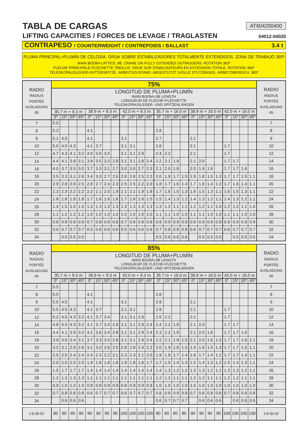#### **LIFTING CAPACITIES / FORCES DE LEVAGE / TRAGLASTEN 04012-04020**

AT604200400

#### **CONTRAPESO / COUNTERWEIGHT / CONTREPOIDS / BALLAST 3.4 t**

PLUMA PRINCIPAL+PLUMÍN DE CELOSÍA. GRÚA SOBRE ESTABILIZADORES TOTALMENTE EXTENDIDOS. ZONA DE TRABAJO 360º

MAIN BOOM+LATTICE JIB. CRANE ON FULLY EXTENDED OUTRIGGERS. ROTATION 360º

FLÈCHE PRINCIPALE+FLÉCHETTE TREILLIS. GRUE SUR STABILISATEURS EN EXTENSION TOTALE. ROTATION 360º TELESKOPAUSLEGER+GITTERSPITZE. ARBEITSZUSTAND: ABGESTÜTZT (VOLLE STÜTZBASIS). ARBEITSBEREICH: 360º

|                                                             |                  |                                              |                |         |                                     |                  |                                              |                         |     |                                                               |               | <b>75%</b>                                                                                                              |     |                                              |                       |                               |                   |     |                                          |                |     |                                                 |     |                                                                    |
|-------------------------------------------------------------|------------------|----------------------------------------------|----------------|---------|-------------------------------------|------------------|----------------------------------------------|-------------------------|-----|---------------------------------------------------------------|---------------|-------------------------------------------------------------------------------------------------------------------------|-----|----------------------------------------------|-----------------------|-------------------------------|-------------------|-----|------------------------------------------|----------------|-----|-------------------------------------------------|-----|--------------------------------------------------------------------|
| <b>RADIO</b><br><b>RADIUS</b><br>PORTÉE<br><b>AUSLADUNG</b> |                  |                                              |                |         |                                     |                  |                                              |                         |     |                                                               |               | LONGITUD DE PLUMA+PLUMIN<br>MAIN BOOM+JIB LENGTH<br>LONGUEUR DE FLÈCHE+FLÉCHETTE<br>TELESKOPAUSLEGER- UND SPITZENLÄNGEN |     |                                              |                       |                               |                   |     |                                          |                |     |                                                 |     | <b>RADIO</b><br><b>RADIUS</b><br><b>PORTÉE</b><br><b>AUSLADUNG</b> |
| m                                                           |                  | $35.7 m + 9.3 m$                             |                |         |                                     | $38.9 m + 9.3 m$ |                                              |                         |     | $42.0 m + 9.3 m$                                              |               |                                                                                                                         |     | $35.7 m + 16.0 m$                            |                       |                               |                   |     | $38.9 m + 16.0 m$                        |                |     | $42.0 m + 16.0 m$                               |     | m                                                                  |
|                                                             | $\Omega^{\circ}$ | $15^{\circ}$ 30 <sup>°</sup> 45 <sup>°</sup> |                |         | $0^{\circ}$                         |                  | $15^{\circ}$ 30 <sup>°</sup> 45 <sup>°</sup> |                         |     | $0^{\circ}$   15 <sup>°</sup> 30 <sup>°</sup> 45 <sup>°</sup> |               | $\Omega_0$                                                                                                              |     | $15^{\circ}$ 30 <sup>°</sup> 45 <sup>°</sup> |                       | 0 <sup>o</sup>                |                   |     | $15^{\circ}$ 30 $^{\circ}$ 45 $^{\circ}$ | $\overline{u}$ |     | 15 <sup>°</sup> 30 <sup>°</sup> 45 <sup>°</sup> |     |                                                                    |
| $\overline{7}$                                              | 5.5              |                                              |                |         |                                     |                  |                                              |                         |     |                                                               |               |                                                                                                                         |     |                                              |                       |                               |                   |     |                                          |                |     |                                                 |     | $\overline{7}$                                                     |
| 8                                                           | 5.3              |                                              |                |         | 4.1                                 |                  |                                              |                         |     |                                                               |               | 2.8                                                                                                                     |     |                                              |                       |                               |                   |     |                                          |                |     |                                                 |     | 8                                                                  |
| 9                                                           | 5.1              | 4.5                                          |                |         | 4.1                                 |                  |                                              | 3.1                     |     |                                                               |               | 2.7                                                                                                                     |     |                                              |                       | 2.1                           |                   |     |                                          |                |     |                                                 |     | 9                                                                  |
| 10                                                          | 5.0              | 4.5                                          | 4.3            |         | 4.1                                 | 3.7              |                                              | 3.1                     | 3.1 |                                                               |               | 2.6                                                                                                                     |     |                                              |                       | 2.1                           |                   |     |                                          | 1.7            |     |                                                 |     | 10                                                                 |
| 12                                                          | 4.7              | 4.3                                          | 4.1            | 3.2     | 4.0                                 | $3.6 \mid 3.4$   |                                              | 3.1                     | 3.1 | 2.9                                                           |               | 2.4                                                                                                                     | 2.2 |                                              |                       | 2.1                           |                   |     |                                          | 1.7            |     |                                                 |     | 12                                                                 |
| 14                                                          | 4.4              | 4.1                                          | 3.9            |         | $3.1$ 3.9                           |                  |                                              | $3.5$ 3.3 2.8 3.1       | 3.1 |                                                               | $2.8$ 2.4     | 2.2                                                                                                                     | 2.1 | 1.9                                          |                       | 2.1                           | 2.0               |     |                                          | 1.7            | 1.7 |                                                 |     | 14                                                                 |
| 16                                                          | 4.0              | 3.7                                          | 3.5            |         | $3.0$   3.7                         |                  | $3.3 \mid 3.1$                               | 2.7 3.0                 | 3.0 |                                                               | $2.7$ 2.3     | 2.1                                                                                                                     | 2.0 | 1.8                                          |                       | 2.0                           | 1.9               | 1.6 |                                          | 1.7            | 1.7 | 1.6                                             |     | 16                                                                 |
| 18                                                          | 3.5              |                                              | $3.3 \mid 3.1$ |         | $2.8$ 3.4                           |                  | $3.0$   2.7                                  | $2.6$   2.8             | 2.8 |                                                               |               | $2.5$ 2.2 2.0                                                                                                           | 1.9 |                                              | $1.7$ 1.5 1.9         |                               | 1.8               | 1.5 | $1.3$   $1.7$                            |                | 1.7 | 1.5                                             | 1.1 | 18                                                                 |
| 20                                                          | 2.9              |                                              | $2.8$   2.6    |         | $2.5$   2.8                         |                  |                                              | $2.7$   2.4   2.3   2.5 | 2.5 |                                                               |               | $2.2$   2.0   1.8                                                                                                       | 1.7 |                                              | $1.6$   $1.4$   $1.7$ |                               | 1.6               | 1.4 | $1.2$   1.7                              |                | 1.6 | 1.4                                             | 1.1 | 20                                                                 |
| 22                                                          | 2.3              | 2.3                                          | 2.2            |         | $2.2$   2.2                         |                  | $2.1$   2.0                                  | $1.9$   $2.1$           | 2.1 |                                                               | $1.9$   1.8   | 1.7                                                                                                                     | 1.6 | 1.5                                          |                       | $1.3$   1.6                   | $\vert 1.5 \vert$ | 1.3 | 1.1                                      | 1.6            | 1.5 | 1.3                                             | 1.1 | 22                                                                 |
| 24                                                          | 1.8              | 1.8                                          | 1.8            |         | $1.8$   1.7                         |                  |                                              | $1.6$   1.6   1.6   1.7 | 1.6 |                                                               |               | $1.6$   $1.5$   $1.5$                                                                                                   |     |                                              |                       | $1.4$   $1.3$   $1.2$   $1.4$ | $\vert$ 1.3       | 1.2 |                                          | $1.1$   $1.4$  | 1.3 | 1.2                                             | 1.1 | 24                                                                 |
| 26                                                          | 1.4              | 1.5                                          | 1.5            | 1.5     | 1.3                                 | 1.3              |                                              | $1.3$   $1.3$   $1.3$   | 1.3 |                                                               | $1.3$   $1.3$ | 1.3                                                                                                                     | 1.2 | 1.1                                          |                       | $1.1$   1.2                   | 1.2               | 1.1 |                                          | 1.011.2        | 1.2 | 1.1                                             | 1.0 | 26                                                                 |
| 28                                                          | 1.1              | 1.2                                          | 1.2            | 1.2     | 1.0                                 | 1.0              | 1.0                                          | $1.0$   $1.0$           | 1.0 |                                                               | $1.0$   1.0   | 1.1                                                                                                                     | 1.1 |                                              | $1.0$ 1.0 1.1         |                               | $\vert$ 1.1       | 1.0 | 1.011.1                                  |                | 1.1 | 1.0                                             | 1.0 | 28                                                                 |
| 30                                                          | 0.8              | 0.9                                          | 0.9            | 0.910.7 |                                     |                  |                                              | $0.8$ 0.8 0.8 0.7       | 0.8 |                                                               | $0.8$ 0.8     | 0.9                                                                                                                     | 0.9 |                                              | $0.9$ 0.9 0.9         |                               | $\overline{0.9}$  | 0.9 | 0.910.9                                  |                | 0.9 | 0.9                                             | 0.9 | 30                                                                 |
| 32                                                          | 0.6              | 0.7                                          | 0.7            |         | $0.7$   0.5   0.6   0.6   0.6   0.5 |                  |                                              |                         |     |                                                               |               | $0.6$   0.6   0.6   0.7                                                                                                 |     |                                              |                       | $0.8$   0.8   0.8   0.6   0.7 |                   |     | $0.7$ 0.7 0.6                            |                | 0.7 | 0.7                                             | 0.7 | 32                                                                 |
| 34                                                          |                  |                                              | 0.5 0.5        | 0.5     |                                     |                  |                                              |                         |     |                                                               |               | 0.5                                                                                                                     | 0.6 |                                              | 0.6 0.6               |                               | 0.5               | 0.5 | 0.5                                      |                | 0.5 | 0.5                                             | 0.5 | 34                                                                 |

|                                |                         |                  |                                              |                  |                                                                               |     |                                          |    |     |                                                                   |     |                 | 85%                                                  |                   |                                          |                       |                               |                                          |                   |               |                       |     |                                                               |     |                               |
|--------------------------------|-------------------------|------------------|----------------------------------------------|------------------|-------------------------------------------------------------------------------|-----|------------------------------------------|----|-----|-------------------------------------------------------------------|-----|-----------------|------------------------------------------------------|-------------------|------------------------------------------|-----------------------|-------------------------------|------------------------------------------|-------------------|---------------|-----------------------|-----|---------------------------------------------------------------|-----|-------------------------------|
| <b>RADIO</b>                   |                         |                  |                                              |                  |                                                                               |     |                                          |    |     |                                                                   |     |                 | LONGITUD DE PLUMA+PLUMIN                             |                   |                                          |                       |                               |                                          |                   |               |                       |     |                                                               |     | <b>RADIO</b><br><b>RADIUS</b> |
| <b>RADIUS</b><br><b>PORTÉE</b> |                         |                  |                                              |                  |                                                                               |     |                                          |    |     |                                                                   |     |                 | MAIN BOOM+JIB LENGTH<br>LONGUEUR DE FLÈCHE+FLÉCHETTE |                   |                                          |                       |                               |                                          |                   |               |                       |     |                                                               |     | <b>PORTÉE</b>                 |
| <b>AUSLADUNG</b>               |                         |                  |                                              |                  |                                                                               |     |                                          |    |     |                                                                   |     |                 | TELESKOPAUSLEGER- UND SPITZENLÄNGEN                  |                   |                                          |                       |                               |                                          |                   |               |                       |     |                                                               |     | <b>AUSLADUNG</b>              |
| m                              |                         | $35.7 m + 9.3 m$ |                                              |                  |                                                                               |     | $38.9 m + 9.3 m$                         |    |     | $42.0 m + 9.3 m$                                                  |     |                 |                                                      | $35.7 m + 16.0 m$ |                                          |                       |                               |                                          |                   |               |                       |     | $38.9 m + 16.0 m$   42.0 m + 16.0 m                           |     | m                             |
| $\overline{7}$                 | $\Omega^{\circ}$<br>5.5 |                  | $15^{\circ}$ 30 <sup>°</sup> 45 <sup>°</sup> |                  | 0 <sup>o</sup>                                                                |     | $15^{\circ}$ 30 $^{\circ}$ 45 $^{\circ}$ |    |     | $0^{\circ}$   15 <sup>°</sup>   30 <sup>°</sup>   45 <sup>°</sup> |     |                 | 0 <sup>o</sup>                                       |                   | $15^{\circ}$ 30 $^{\circ}$ 45 $^{\circ}$ |                       | 0 <sup>o</sup>                | $15^{\circ}$ 30 $^{\circ}$ 45 $^{\circ}$ |                   |               |                       |     | $0^{\circ}$   15 <sup>°</sup> 30 <sup>°</sup> 45 <sup>°</sup> |     | $\overline{7}$                |
|                                |                         |                  |                                              |                  |                                                                               |     |                                          |    |     |                                                                   |     |                 |                                                      |                   |                                          |                       |                               |                                          |                   |               |                       |     |                                                               |     |                               |
| 8                              | 5.5                     |                  |                                              |                  | 4.1                                                                           |     |                                          |    |     |                                                                   |     |                 | 2.8                                                  |                   |                                          |                       |                               |                                          |                   |               |                       |     |                                                               |     | 8                             |
| 9                              | 5.5                     | 4.5              |                                              |                  | 4.1                                                                           |     |                                          |    | 3.1 |                                                                   |     |                 | 2.8                                                  |                   |                                          |                       | 2.1                           |                                          |                   |               |                       |     |                                                               |     | 9                             |
| 10                             | 5.5                     | 4.5              | 4.3                                          |                  | 4.1                                                                           | 3.7 |                                          |    | 3.1 | 3.1                                                               |     |                 | 2.8                                                  |                   |                                          |                       | 2.1                           |                                          |                   |               | 1.7                   |     |                                                               |     | 10                            |
| 12                             | 5.2                     |                  | $4.5$   $4.3$   $3.2$                        |                  | 4.1                                                                           | 3.7 | 3.4                                      |    | 3.1 | 3.1                                                               | 2.9 |                 | 2.6                                                  | 2.2               |                                          |                       | 2.1                           |                                          |                   |               | 1.7                   |     |                                                               |     | 12                            |
| 14                             | 4.8                     | 4.5              |                                              | $4.3$ 3.2        | 4.1                                                                           |     | $3.7$ 3.4 2.8 3.1                        |    |     | 3.1                                                               |     | $2.9$ 2.4       | 2.4                                                  | 2.2               | 1.9                                      |                       | 2.1                           | 2.0                                      |                   |               | 1.7                   | 1.7 |                                                               |     | 14                            |
| 16                             | 4.4                     | 4.1              |                                              | $3.9$   3.2      | 4.1                                                                           |     | $3.6$ 3.4 $\mid$ 2.8 3.1                 |    |     | 3.1                                                               |     | $2.9$ 2.4       | 2.3                                                  | 2.2               | 1.9                                      |                       | 2.1                           | 2.0                                      | 1.6               |               | 1.7                   | 1.7 | 1.6                                                           |     | 16                            |
| 18                             | 3.9                     | 3.6              |                                              | $3.4$ 3.1 3.7    |                                                                               |     | $3.3$ 3.0 2.8 3.1                        |    |     | 3.1                                                               |     |                 | $2.8$ 2.4 2.2                                        | 2.1               |                                          | $1.9$ 1.5 2.1         |                               | 2.0                                      |                   |               | $1.6$   1.3   1.7     | 1.7 | 1.6                                                           | 1.1 | 18                            |
| 20                             | 3.2                     | 3.1              |                                              |                  | 2.9 2.8 3.1                                                                   |     | $3.0$   2.6   2.5   2.8                  |    |     |                                                                   |     | $2.8$ 2.4 2.2   | 2.0                                                  | 1.9               |                                          | $1.8$ 1.5 1.9         |                               | 1.8                                      | 1.5               |               | $1.3$   $1.7$         | 1.7 | 1.5                                                           | 1.1 | 20                            |
| 22                             | 2.5                     | 2.5              |                                              |                  | 2.4 2.4 2.4 2.3 2.2 2.1 2.3                                                   |     |                                          |    |     |                                                                   |     |                 | $2.3$   2.1   2.0   1.9                              |                   |                                          |                       | $1.8$   1.7   1.4   1.8   1.7 |                                          |                   |               | $1.4$   $1.2$   $1.7$ | 1.7 | 1.4                                                           | 1.1 | 22                            |
| 24                             | 2.0                     | 2.0              | $2.0$   2.0                                  |                  | 1.9                                                                           |     | $1.8$   $1.8$   $1.8$   $1.9$            |    |     | 1.8                                                               |     |                 | $1.8$ 1.7   1.7                                      | 1.5               |                                          |                       | $1.4$   1.3   1.5   1.4       |                                          |                   |               | $1.3$   $1.2$   $1.5$ |     | $1.4$ 1.3                                                     | 1.1 | 24                            |
| 26                             | 1.5                     | 1.7              | 1.7                                          | 1.7              | 1.4                                                                           |     | $1.4$   $1.4$   $1.4$   $1.4$            |    |     | 1.4                                                               |     |                 | $1.4$   $1.4$   $1.4$                                | 1.3               |                                          | $1.2$   1.2   1.3     |                               | 1.3                                      |                   |               | $1.2$   1.1   1.3     |     | $1.3$ 1.2                                                     | 1.1 | 26                            |
| 28                             | 1.2                     |                  | $1.3$   $1.3$   $1.3$                        |                  | 1.1                                                                           |     | $1.1$   $1.1$   $1.1$   $1.1$            |    |     | 1.1                                                               |     |                 | $1.1$   $1.1$   $1.2$                                | 1.2               |                                          | $1.1$   $1.1$   $1.2$ |                               | $\vert$ 1.2                              | 1.1               |               | $1.1$   $1.2$         |     | $1.2$   1.1                                                   | 1.1 | 28                            |
| 30                             | 0.9                     | 1.0              | 1.0                                          | 1.0 <sub>l</sub> | 0.8                                                                           |     | $0.9$   $0.9$   $0.9$   $0.8$            |    |     | 0.9                                                               |     |                 | $0.9$ 0.9 1.0                                        | 1.0               |                                          | $1.0$   1.0   1.0     |                               | 1.0                                      | 1.0               |               | $1.0$   1.0           | 1.0 | 1.0                                                           | 1.0 | 30                            |
| 32                             | 0.7                     | 0.8              |                                              |                  | $\vert 0.8 \vert 0.8 \vert 0.6 \vert 0.7 \vert 0.7 \vert 0.7 \vert 0.6 \vert$ |     |                                          |    |     | 0.7                                                               |     | $0.7$ 0.7       | 0.8                                                  | 0.9               |                                          | $0.9$ 0.9 0.7         |                               | 0.8                                      |                   | $0.8$ 0.8 0.7 |                       |     | $0.8$ 0.8                                                     | 0.8 | 32                            |
| 34                             |                         |                  | $0.6$ 0.6 0.6                                |                  |                                                                               |     |                                          |    |     |                                                                   |     |                 | 0.6                                                  | 0.7               | 0.7                                      | 0.7                   |                               |                                          | $0.6$   0.6   0.6 |               |                       |     | 0.6 0.6                                                       | 0.6 | 34                            |
| $I-II-II-IV$                   | 80                      | 80               | 80                                           | 80               | 90                                                                            | 90  | 90                                       | 90 |     |                                                                   |     | 100 100 100 100 | 80                                                   | 80                | 80                                       | 80                    | 90                            | 90                                       | 90                | 90            |                       |     | [100]100]100]100]                                             |     | $I-II-III-IV$                 |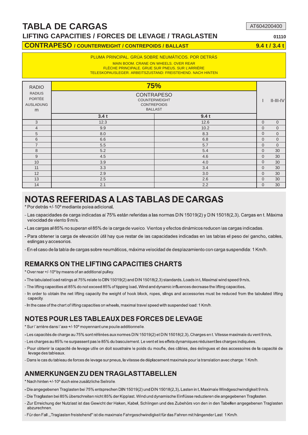#### **LIFTING CAPACITIES / FORCES DE LEVAGE / TRAGLASTEN 01110**

#### **CONTRAPESO / COUNTERWEIGHT / CONTREPOIDS / BALLAST 9.4 t / 3.4 t**

#### PLUMA PRINCIPAL. GRÚA SOBRE NEUMÁTICOS. POR DETRÁS

MAIN BOOM. CRANE ON WHEELS. OVER REAR

FLÈCHE PRINCIPALE. GRUE SUR PNEUS. SUR L'ARRIÈRE TELESKOPAUSLEGER. ARBEITSZUSTAND: FREISTEHEND. NACH HINTEN

| <b>RADIO</b><br><b>RADIUS</b><br>PORTÉE<br><b>AUSLADUNG</b><br>m | <b>75%</b><br><b>CONTRAPESO</b><br><b>COUNTERWEIGHT</b><br><b>CONTREPOIDS</b><br><b>BALLAST</b> |      |              | $II$ - $III$ - $IV$ |
|------------------------------------------------------------------|-------------------------------------------------------------------------------------------------|------|--------------|---------------------|
|                                                                  | 3.4t                                                                                            | 9.4t |              |                     |
| 3                                                                | 12.3                                                                                            | 12.6 | $\mathbf 0$  | $\overline{0}$      |
| $\overline{4}$                                                   | 9.9                                                                                             | 10.2 | $\mathbf 0$  | $\mathbf 0$         |
| 5                                                                | 8.0                                                                                             | 8.3  | $\mathbf{0}$ | $\overline{0}$      |
| 6                                                                | 6.6                                                                                             | 6.8  | $\mathbf{0}$ | $\overline{0}$      |
| $\overline{7}$                                                   | 5.5                                                                                             | 5.7  | $\mathbf{0}$ | $\overline{0}$      |
| 8                                                                | 5.2                                                                                             | 5.4  | $\mathbf{0}$ | 30                  |
| 9                                                                | 4.5                                                                                             | 4.6  | $\mathbf{0}$ | 30                  |
| 10 <sup>1</sup>                                                  | 3.9                                                                                             | 4.0  | $\mathbf 0$  | 30                  |
| 11                                                               | 3.3                                                                                             | 3.4  | $\mathbf{0}$ | 30                  |
| 12                                                               | 2.9                                                                                             | 3.0  | $\mathbf 0$  | 30                  |
| 13                                                               | 2.5                                                                                             | 2.6  | $\mathbf{0}$ | 30                  |
| 14                                                               | 2.1                                                                                             | 2.2  | $\mathbf 0$  | 30                  |

## NOTAS REFERIDAS A LAS TABLAS DE CARGAS

\* Por detrás +/-10° mediante polea adicional.

- Las capacidades de carga indicadas al 75% están referidas a las normas DIN 15019(2) y DIN 15018(2,3). Cargas en t. Máxima velocidad de viento 9 m/s.
- Las cargas al 85% no superan el 85% de la carga de vuelco. Vientos y efectos dinámicos reducen las cargas indicadas.
- Para obtener la carga de elevación útil hay que restar de las capacidades indicadas en las tablas el peso del gancho, cables, eslingas y accesorios
- En el caso de la tabla de cargas sobre neumáticos, máxima velocidad de desplazamiento con carga suspendida: 1 Km/h.

#### REMARKS ON THE LIFTING CAPACITIES CHARTS

- \* Over rear +/-10° by means of an additional pulley.
- The tabulated load ratings at 75% relate to DIN 15019(2) and DIN 15018(2,3) standards. Loads in t. Maximal wind speed 9 m/s.
- The lifting capacities at 85% do not exceed 85% of tipping load. Wind and dynamic influences decrease the lifting capacities.
- In order to obtain the net lifting capacity the weight of hook block, ropes, slings and accessories must be reduced from the tabulated lifting capacity.
- In the case of the chart of lifting capacities on wheels, maximal travel speed with suspended load: 1 Km/h.

#### NOTES POUR LES TABLEAUX DES FORCES DE LEVAGE

\* Sur l'arrière dans l'axe +/-10° moyennant une poulie additionnelle.

- -Les capacités de charge au 75% sont référées aux normes DIN 15019(2) et DIN 15018(2,3). Charges en t. Vitesse maximale du vent 9 m/s.
- Les charges au 85% ne surpassent pas le 85% du basculement. Le vent et les effets dynamiques réduisent les charges indiquées.
- Pour obtenir la capacité de levage utile on doit soustraire le poids du moufle, des câbles, des éslingues et des accessoires de la capacité de levage des tableaux.
- Dans le cas du tableau de forces de levage sur pneus, la vitesse de déplacement maximale pour la translation avec charge: 1 Km/h.

#### ANMERKUNGEN ZU DEN TRAGLASTTABELLEN

- \* Nach hinten +/-10° duch eine zusätzliche Seilrolle.
- Die angegebenen Traglasten bei 75% entsprechen DIN 15019(2) und DIN 15018(2,3). Lasten in t. Maximale Windgeschwindigkeit 9 m/s.
- Die Traglasten bei 85% überschreiten nicht 85% der Kipplast. Wind und dynamische Einflüsse reduzieren die angegebenen Traglasten.
- Zur Erreichung der Nutzlast ist das Gewicht der Haken, Kabel, Schlingen und des Zubehörs von den in den Tabellen angegebenen Traglasten abzurechnen.
- Für den Fall, Traglasten freistehend" ist die maximale Fahrgeschwindigkeit für das Fahren mit hängender Last 1 Km/h.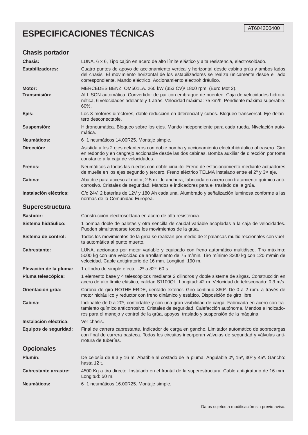## **ESPECIFICACIONES TÉCNICAS**

| <b>Chasis portador</b>        |                                                                                                                                                                                                                                                                                                  |
|-------------------------------|--------------------------------------------------------------------------------------------------------------------------------------------------------------------------------------------------------------------------------------------------------------------------------------------------|
| <b>Chasis:</b>                | LUNA, 6 x 6, Tipo cajón en acero de alto límite elástico y alta resistencia, electrosoldado.                                                                                                                                                                                                     |
| <b>Estabilizadores:</b>       | Cuatro puntos de apoyo de accionamiento vertical y horizontal desde cabina grúa y ambos lados<br>del chasis. El movimiento horizontal de los estabilizadores se realiza únicamente desde el lado<br>correspondiente. Mando eléctrico. Accionamiento electrohidráulico.                           |
| Motor:<br><b>Transmisión:</b> | MERCEDES BENZ. OM501LA. 260 kW (353 CV)/ 1800 rpm. (Euro Mot 2).<br>ALLISON automática. Convertidor de par con embrague de puenteo. Caja de velocidades hidroci-<br>nética, 6 velocidades adelante y 1 atrás. Velocidad máxima: 75 km/h. Pendiente máxima superable:<br>60%.                     |
| Ejes:                         | Los 3 motores-directores, doble reducción en diferencial y cubos. Bloqueo transversal. Eje delan-<br>tero desconectable.                                                                                                                                                                         |
| Suspensión:                   | Hidroneumática. Bloqueo sobre los ejes. Mando independiente para cada rueda. Nivelación auto-<br>mática.                                                                                                                                                                                         |
| Neumáticos:                   | 6+1 neumáticos 14.00R25. Montaje simple.                                                                                                                                                                                                                                                         |
| Dirección:                    | Asistida a los 2 ejes delanteros con doble bomba y accionamiento electrohidráulico al trasero. Giro<br>en redondo y en cangrejo accionable desde las dos cabinas. Bomba auxiliar de dirección por toma<br>constante a la caja de velocidades.                                                    |
| Frenos:                       | Neumáticos a todas las ruedas con doble circuito. Freno de estacionamiento mediante actuadores<br>de muelle en los ejes segundo y tercero. Freno eléctrico TELMA instalado entre el 2º y 3 <sup>er</sup> eje.                                                                                    |
| Cabina:                       | Abatible para acceso al motor, 2.5 m. de anchura, fabricada en acero con tratamiento químico anti-<br>corrosivo. Cristales de seguridad. Mandos e indicadores para el traslado de la grúa.                                                                                                       |
| Instalación eléctrica:        | C/c 24V. 2 baterías de 12V y 180 Ah cada una. Alumbrado y señalización luminosa conforme a las<br>normas de la Comunidad Europea.                                                                                                                                                                |
| Superestructura               |                                                                                                                                                                                                                                                                                                  |
| <b>Bastidor:</b>              | Construcción electrosoldada en acero de alta resistencia.                                                                                                                                                                                                                                        |
| Sistema hidráulico:           | 1 bomba doble de paletas y otra sencilla de caudal variable acopladas a la caja de velocidades.<br>Pueden simultanearse todos los movimientos de la grúa.                                                                                                                                        |
| Sistema de control:           | Todos los movimientos de la grúa se realizan por medio de 2 palancas multidireccionales con vuel-<br>ta automática al punto muerto.                                                                                                                                                              |
| <b>Cabrestante:</b>           | LUNA, accionado por motor variable y equipado con freno automático multidisco. Tiro máximo:<br>5000 kg con una velocidad de arrollamiento de 75 m/min. Tiro mínimo 3200 kg con 120 m/min de<br>velocidad. Cable antigiratorio de 16 mm. Longitud: 190 m.                                         |
| Elevación de la pluma:        | 1 cilindro de simple efecto. -2º a 82º. 60 s.                                                                                                                                                                                                                                                    |
| Pluma telescópica:            | 1 elemento base y 4 telescópicos mediante 2 cilindros y doble sistema de sirgas. Construcción en<br>acero de alto límite elástico, calidad S1100QL. Longitud: 42 m. Velocidad de telescopado: 0.3 m/s.                                                                                           |
| Orientación grúa:             | Corona de giro ROTHE-ERDE, dentado exterior. Giro continuo 360 <sup>o</sup> . De 0 a 2 rpm. a través de<br>motor hidráulico y reductor con freno dinámico y estático. Disposición de giro libre.                                                                                                 |
| Cabina:                       | Inclinable de 0 a 20°, confortable y con una gran visibilidad de carga. Fabricada en acero con tra-<br>tamiento químico anticorrosivo. Cristales de seguridad. Calefacción autónoma. Mandos e indicado-<br>res para el manejo y control de la grúa, apoyos, traslado y suspensión de la máquina. |
| Instalación eléctrica:        | Ver chasis.                                                                                                                                                                                                                                                                                      |
| Equipos de seguridad:         | Final de carrera cabrestante. Indicador de carga en gancho. Limitador automático de sobrecargas<br>con final de carrera pasteca. Todos los circuitos incorporan válvulas de seguridad y válvulas anti-<br>rrotura de tuberías.                                                                   |
| <b>Opcionales</b>             |                                                                                                                                                                                                                                                                                                  |
| Plumín:                       | De celosía de 9.3 y 16 m. Abatible al costado de la pluma. Angulable 0º, 15º, 30º y 45º. Gancho:<br>hasta 12 t.                                                                                                                                                                                  |
| <b>Cabrestante arrastre:</b>  | 4500 Kg a tiro directo. Instalado en el frontal de la superestructura. Cable antigiratorio de 16 mm.<br>Longitud: 50 m.                                                                                                                                                                          |
| Neumáticos:                   | 6+1 neumáticos 16.00R25. Montaje simple.                                                                                                                                                                                                                                                         |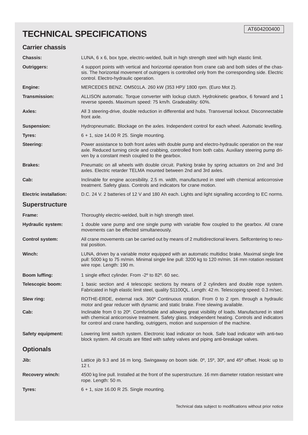## **TECHNICAL SPECIFICATIONS**

#### **Carrier chassis**

| <b>Chassis:</b>               | LUNA, 6 x 6, box type, electric-welded, built in high strength steel with high elastic limit.                                                                                                                                                                                                 |
|-------------------------------|-----------------------------------------------------------------------------------------------------------------------------------------------------------------------------------------------------------------------------------------------------------------------------------------------|
| <b>Outriggers:</b>            | 4 support points with vertical and horizontal operation from crane cab and both sides of the chas-<br>sis. The horizontal movement of outriggers is controlled only from the corresponding side. Electric<br>control. Electro-hydraulic operation.                                            |
| Engine:                       | MERCEDES BENZ. OM501LA. 260 kW (353 HP)/ 1800 rpm. (Euro Mot 2).                                                                                                                                                                                                                              |
| <b>Transmission:</b>          | ALLISON automatic. Torque converter with lockup clutch. Hydrokinetic gearbox, 6 forward and 1<br>reverse speeds. Maximum speed: 75 km/h. Gradeability: 60%.                                                                                                                                   |
| Axles:                        | All 3 steering-drive, double reduction in differential and hubs. Transversal lockout. Disconnectable<br>front axle.                                                                                                                                                                           |
| <b>Suspension:</b>            | Hydropneumatic. Blockage on the axles. Independent control for each wheel. Automatic levelling.                                                                                                                                                                                               |
| Tyres:                        | $6 + 1$ , size 14.00 R 25. Single mounting.                                                                                                                                                                                                                                                   |
| <b>Steering:</b>              | Power assistance to both front axles with double pump and electro-hydraulic operation on the rear<br>axle. Reduced turning circle and crabbing, controlled from both cabs. Auxiliary steering pump dri-<br>ven by a constant mesh coupled to the gearbox.                                     |
| <b>Brakes:</b>                | Pneumatic on all wheels with double circuit. Parking brake by spring actuators on 2nd and 3rd<br>axles. Electric retarder TELMA mounted between 2nd and 3rd axles.                                                                                                                            |
| Cab:                          | Inclinable for engine accesibility. 2.5 m. width, manufactured in steel with chemical anticorrosive<br>treatment. Safety glass. Controls and indicators for crane motion.                                                                                                                     |
| <b>Electric installation:</b> | D.C. 24 V. 2 batteries of 12 V and 180 Ah each. Lights and light signalling according to EC norms.                                                                                                                                                                                            |
| <b>Superstructure</b>         |                                                                                                                                                                                                                                                                                               |
| Frame:                        | Thoroughly electric-welded, built in high strength steel.                                                                                                                                                                                                                                     |
| <b>Hydraulic system:</b>      | 1 double vane pump and one single pump with variable flow coupled to the gearbox. All crane<br>movements can be effected simultaneously.                                                                                                                                                      |
| <b>Control system:</b>        | All crane movements can be carried out by means of 2 multidirectional levers. Selfcentering to neu-<br>tral position.                                                                                                                                                                         |
| Winch:                        | LUNA, driven by a variable motor equipped with an automatic multidisc brake. Maximal single line<br>pull: 5000 kg to 75 m/min. Minimal single line pull: 3200 kg to 120 m/min. 16 mm rotation resistant<br>wire rope. Length: 190 m.                                                          |
| <b>Boom luffing:</b>          | 1 single effect cylinder. From -2° to 82°. 60 sec.                                                                                                                                                                                                                                            |
| <b>Telescopic boom:</b>       | 1 basic section and 4 telescopic sections by means of 2 cylinders and double rope system.<br>Fabricated in high elastic limit steel, quality S1100QL. Length: 42 m. Telescoping speed: 0.3 m/sec.                                                                                             |
| Slew ring:                    | ROTHE-ERDE, external rack. 360° Continuous rotation. From 0 to 2 rpm. through a hydraulic<br>motor and gear reducer with dynamic and static brake. Free slewing available.                                                                                                                    |
| Cab:                          | Inclinable from 0 to 20°. Comfortable and allowing great visibility of loads. Manufactured in steel<br>with chemical anticorrosive treatment. Safety glass. Independent heating. Controls and indicators<br>for control and crane handling, outriggers, motion and suspension of the machine. |
| <b>Safety equipment:</b>      | Lowering limit switch system. Electronic load indicator on hook. Safe load indicator with anti-two<br>block system. All circuits are fitted with safety valves and piping anti-breakage valves.                                                                                               |
| <b>Optionals</b>              |                                                                                                                                                                                                                                                                                               |
| Jib:                          | Lattice jib 9.3 and 16 m long. Swingaway on boom side. 0°, 15°, 30°, and 45° offset. Hook: up to<br>12 t.                                                                                                                                                                                     |
| <b>Recovery winch:</b>        | 4500 kg line pull. Installed at the front of the superstructure. 16 mm diameter rotation resistant wire<br>rope. Length: 50 m.                                                                                                                                                                |
| Tyres:                        | $6 + 1$ , size 16.00 R 25. Single mounting.                                                                                                                                                                                                                                                   |

Technical data subject to modifications without prior notice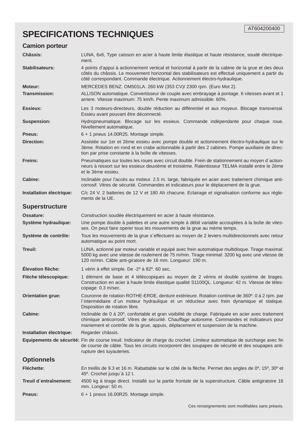## **SPECIFICATIONS TECHNIQUES**

#### **Camion porteur**

| <b>Châssis:</b>          | LUNA, 6x6, Type caisson en acier à haute limite élastique et haute résistance, soudé électrique-<br>ment.                                                                                                                                                                                 |
|--------------------------|-------------------------------------------------------------------------------------------------------------------------------------------------------------------------------------------------------------------------------------------------------------------------------------------|
| <b>Stabilisateurs:</b>   | 4 points d'appui à actionnement vertical et horizontal à partir de la cabine de la grue et des deux<br>côtés du châssis. Le mouvement horizontal des stabilisateurs est effectué uniquement a partir du<br>côté correspondant. Commande électrique. Actionnement électro-hydraulique.     |
| Moteur:                  | MERCEDES BENZ. OM501LA. 260 kW (353 CV)/ 2300 rpm. (Euro Mot 2).                                                                                                                                                                                                                          |
| <b>Transmission:</b>     | ALLISON automatique. Convertisseur de couple avec embrayage à pontage. 6 vitesses avant et 1<br>arriere. Vitesse maximum: 75 km/h. Pente maximum admissible: 60%.                                                                                                                         |
| Essieux:                 | Les 3 moteurs-directeurs, double réduction au différentiel et aux moyeux. Blocage transversal.<br>Essieu avant pouvant être déconnecté.                                                                                                                                                   |
| <b>Suspension:</b>       | Hydropneumatique. Blocage sur les essieux. Commande indépendante pour chaque roue.<br>Nivellement automatique.                                                                                                                                                                            |
| <b>Pneus:</b>            | 6 + 1 pneus 14.00R25. Montage simple.                                                                                                                                                                                                                                                     |
| <b>Direction:</b>        | Assistée sur 1er et 2ème essieu avec pompe double et actionnement électro-hydraulique sur le<br>3ème. Rotation en rond et en crabe actionnable à partir des 2 cabines. Pompe auxiliaire de direc-<br>tion par prise constante à la boîte de vitesses.                                     |
| <b>Freins:</b>           | Pneumatiques sur toutes les roues avec circuit double. Frein de stationnement au moyen d'action-<br>neurs à ressort sur les essieux deuxième et troisième. Ralentisseur TELMA installé entre le 2ème<br>et le 3ème essieu.                                                                |
| <b>Cabine:</b>           | Inclinable pour l'accès au moteur. 2.5 m. large, fabriquée en acier avec traitement chimique anti-<br>corrosif. Vitres de sécurité. Commandes et indicateurs pour le déplacement de la grue.                                                                                              |
| Installation électrique: | C/c 24 V. 2 batteries de 12 V et 180 Ah chacune. Eclairage et signalisation conforme aux régle-<br>ments de la UE.                                                                                                                                                                        |
| <b>Superstructure</b>    |                                                                                                                                                                                                                                                                                           |
| Ossature:                | Construction soudée électriquement en acier à haute résistance.                                                                                                                                                                                                                           |
| Système hydraulique:     | Une pompe double à palettes et une autre simple à débit variable accouplées à la boîte de vites-<br>ses. On peut faire operer tous les mouvements de la grue au mème temps.                                                                                                               |
| Système de contrôle:     | Tous les mouvements de la grue s'effectuent au moyen de 2 leviers multidirectionnels avec retour<br>automatique au point mort.                                                                                                                                                            |
| Treuil:                  | LUNA, actionné par moteur variable et equipé avec frein automatique multidisque. Tirage maximal:<br>5000 kg avec une vitesse de roulement de 75 m/min. Tirage minimal: 3200 kg avec une vitesse de<br>120 m/min. Câble anti-giratoire de 16 mm. Longueur: 190 m.                          |
| Élevation flèche:        | 1 vérin à effet simple. De -2° à 82°. 60 sec.                                                                                                                                                                                                                                             |
| Flèche télescopique:     | 1 élément de base et 4 téléscopiques au moyen de 2 vérins et double système de tirages.<br>Construction en acier à haute limite élastique qualité S1100QL. Longueur: 42 m. Vitesse de téles-<br>copage: 0.3 m/sec.                                                                        |
| <b>Orientation grue:</b> | Couronne de rotation ROTHE-ERDE, denture extérieure. Rotation continue de 360°. 0 à 2 rpm. par<br>l'intermédiaire d'un moteur hydraulique et un réducteur avec frein dynamique et statique.<br>Disposition de rotation libre.                                                             |
| <b>Cabine:</b>           | Inclinable de 0 à 20°, confortable et gran visibilité de charge. Fabriquée en acier avec traitement<br>chimique anticorrosif. Vitres de sécurité. Chauffage autonome. Commandes et indicateurs pour<br>maniement et contrôle de la grue, appuis, déplacement et suspension de la machine. |
| Installation électrique: | Regarder châssis.                                                                                                                                                                                                                                                                         |
|                          | Equipements de sécurité: Fin de course treuil. Indicateur de charge du crochet. Limiteur automatique de surcharge avec fin<br>de course de câble. Tous les circuits incorporent des soupapes de sécurité et des soupapes anti-<br>rupture des tuyauteries.                                |
| <b>Optionnels</b>        |                                                                                                                                                                                                                                                                                           |
| <b>Fléchette:</b>        | En treillis de 9.3 et 16 m. Rabattable sur le côté de la flèche. Permet des angles de 0°, 15°, 30° et<br>45°. Crochet jusqu'à 12 t.                                                                                                                                                       |
| Treuil d'entraînement:   | 4500 kg à tirage direct. Installé sur la partie frontale de la superstructure. Câble antigiratoire 16<br>mm. Longeur: 50 m.                                                                                                                                                               |
| <b>Pneus:</b>            | 6 + 1 pneus 16.00R25. Montage simple.                                                                                                                                                                                                                                                     |